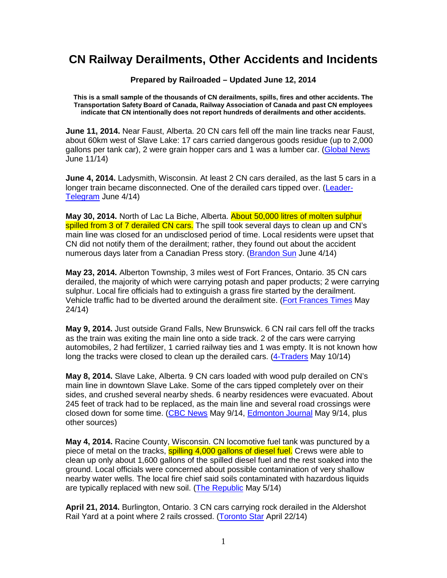## **CN Railway Derailments, Other Accidents and Incidents**

**Prepared by Railroaded – Updated June 12, 2014** 

**This is a small sample of the thousands of CN derailments, spills, fires and other accidents. The Transportation Safety Board of Canada, Railway Association of Canada and past CN employees indicate that CN intentionally does not report hundreds of derailments and other accidents.** 

**June 11, 2014.** Near Faust, Alberta. 20 CN cars fell off the main line tracks near Faust, about 60km west of Slave Lake: 17 cars carried dangerous goods residue (up to 2,000 gallons per tank car), 2 were grain hopper cars and 1 was a lumber car. (Global News June 11/14)

**June 4, 2014.** Ladysmith, Wisconsin. At least 2 CN cars derailed, as the last 5 cars in a longer train became disconnected. One of the derailed cars tipped over. (Leader-Telegram June 4/14)

**May 30, 2014.** North of Lac La Biche, Alberta. About 50,000 litres of molten sulphur spilled from 3 of 7 derailed CN cars. The spill took several days to clean up and CN's main line was closed for an undisclosed period of time. Local residents were upset that CN did not notify them of the derailment; rather, they found out about the accident numerous days later from a Canadian Press story. (Brandon Sun June 4/14)

**May 23, 2014.** Alberton Township, 3 miles west of Fort Frances, Ontario. 35 CN cars derailed, the majority of which were carrying potash and paper products; 2 were carrying sulphur. Local fire officials had to extinguish a grass fire started by the derailment. Vehicle traffic had to be diverted around the derailment site. (Fort Frances Times May 24/14)

**May 9, 2014.** Just outside Grand Falls, New Brunswick. 6 CN rail cars fell off the tracks as the train was exiting the main line onto a side track. 2 of the cars were carrying automobiles, 2 had fertilizer, 1 carried railway ties and 1 was empty. It is not known how long the tracks were closed to clean up the derailed cars. (4-Traders May 10/14)

**May 8, 2014.** Slave Lake, Alberta. 9 CN cars loaded with wood pulp derailed on CN's main line in downtown Slave Lake. Some of the cars tipped completely over on their sides, and crushed several nearby sheds. 6 nearby residences were evacuated. About 245 feet of track had to be replaced, as the main line and several road crossings were closed down for some time. (CBC News May 9/14, Edmonton Journal May 9/14, plus other sources)

**May 4, 2014.** Racine County, Wisconsin. CN locomotive fuel tank was punctured by a piece of metal on the tracks, spilling 4,000 gallons of diesel fuel. Crews were able to clean up only about 1,600 gallons of the spilled diesel fuel and the rest soaked into the ground. Local officials were concerned about possible contamination of very shallow nearby water wells. The local fire chief said soils contaminated with hazardous liquids are typically replaced with new soil. (The Republic May 5/14)

**April 21, 2014.** Burlington, Ontario. 3 CN cars carrying rock derailed in the Aldershot Rail Yard at a point where 2 rails crossed. (Toronto Star April 22/14)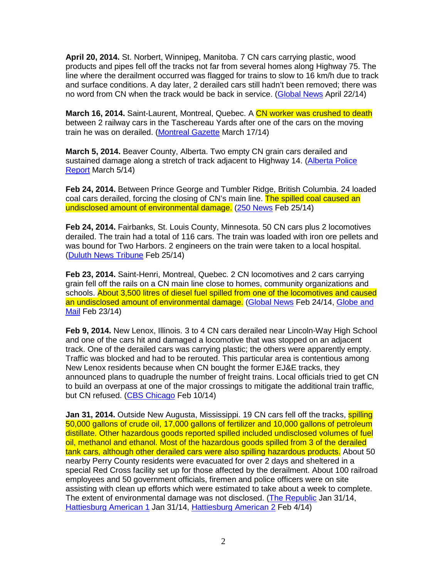**April 20, 2014.** St. Norbert, Winnipeg, Manitoba. 7 CN cars carrying plastic, wood products and pipes fell off the tracks not far from several homes along Highway 75. The line where the derailment occurred was flagged for trains to slow to 16 km/h due to track and surface conditions. A day later, 2 derailed cars still hadn't been removed; there was no word from CN when the track would be back in service. (Global News April 22/14)

**March 16, 2014.** Saint-Laurent, Montreal, Quebec. A CN worker was crushed to death between 2 railway cars in the Taschereau Yards after one of the cars on the moving train he was on derailed. (Montreal Gazette March 17/14)

**March 5, 2014.** Beaver County, Alberta. Two empty CN grain cars derailed and sustained damage along a stretch of track adjacent to Highway 14. (Alberta Police Report March 5/14)

**Feb 24, 2014.** Between Prince George and Tumbler Ridge, British Columbia. 24 loaded coal cars derailed, forcing the closing of CN's main line. The spilled coal caused an undisclosed amount of environmental damage. (250 News Feb 25/14)

**Feb 24, 2014.** Fairbanks, St. Louis County, Minnesota. 50 CN cars plus 2 locomotives derailed. The train had a total of 116 cars. The train was loaded with iron ore pellets and was bound for Two Harbors. 2 engineers on the train were taken to a local hospital. (Duluth News Tribune Feb 25/14)

**Feb 23, 2014.** Saint-Henri, Montreal, Quebec. 2 CN locomotives and 2 cars carrying grain fell off the rails on a CN main line close to homes, community organizations and schools. About 3,500 litres of diesel fuel spilled from one of the locomotives and caused an undisclosed amount of environmental damage. (Global News Feb 24/14, Globe and Mail Feb 23/14)

**Feb 9, 2014.** New Lenox, Illinois. 3 to 4 CN cars derailed near Lincoln-Way High School and one of the cars hit and damaged a locomotive that was stopped on an adjacent track. One of the derailed cars was carrying plastic; the others were apparently empty. Traffic was blocked and had to be rerouted. This particular area is contentious among New Lenox residents because when CN bought the former EJ&E tracks, they announced plans to quadruple the number of freight trains. Local officials tried to get CN to build an overpass at one of the major crossings to mitigate the additional train traffic, but CN refused. (CBS Chicago Feb 10/14)

**Jan 31, 2014.** Outside New Augusta, Mississippi. 19 CN cars fell off the tracks, **spilling** 50,000 gallons of crude oil, 17,000 gallons of fertilizer and 10,000 gallons of petroleum distillate. Other hazardous goods reported spilled included undisclosed volumes of fuel oil, methanol and ethanol. Most of the hazardous goods spilled from 3 of the derailed tank cars, although other derailed cars were also spilling hazardous products. About 50 nearby Perry County residents were evacuated for over 2 days and sheltered in a special Red Cross facility set up for those affected by the derailment. About 100 railroad employees and 50 government officials, firemen and police officers were on site assisting with clean up efforts which were estimated to take about a week to complete. The extent of environmental damage was not disclosed. (The Republic Jan 31/14, Hattiesburg American 1 Jan 31/14, Hattiesburg American 2 Feb 4/14)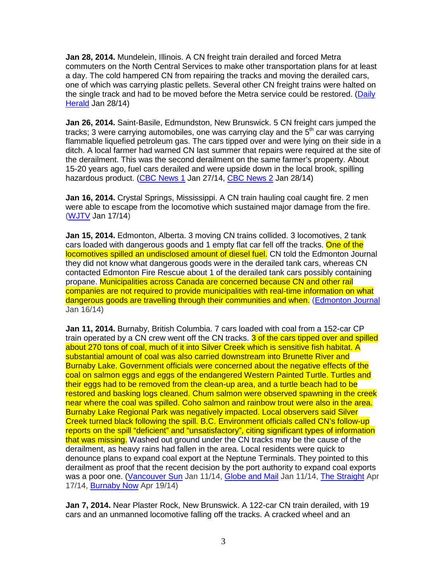**Jan 28, 2014.** Mundelein, Illinois. A CN freight train derailed and forced Metra commuters on the North Central Services to make other transportation plans for at least a day. The cold hampered CN from repairing the tracks and moving the derailed cars, one of which was carrying plastic pellets. Several other CN freight trains were halted on the single track and had to be moved before the Metra service could be restored. (Daily Herald Jan 28/14)

**Jan 26, 2014.** Saint-Basile, Edmundston, New Brunswick. 5 CN freight cars jumped the tracks; 3 were carrying automobiles, one was carrying clay and the 5<sup>th</sup> car was carrying flammable liquefied petroleum gas. The cars tipped over and were lying on their side in a ditch. A local farmer had warned CN last summer that repairs were required at the site of the derailment. This was the second derailment on the same farmer's property. About 15-20 years ago, fuel cars derailed and were upside down in the local brook, spilling hazardous product. (CBC News 1 Jan 27/14, CBC News 2 Jan 28/14)

**Jan 16, 2014.** Crystal Springs, Mississippi. A CN train hauling coal caught fire. 2 men were able to escape from the locomotive which sustained major damage from the fire. (WJTV Jan 17/14)

**Jan 15, 2014.** Edmonton, Alberta. 3 moving CN trains collided. 3 locomotives, 2 tank cars loaded with dangerous goods and 1 empty flat car fell off the tracks. One of the locomotives spilled an undisclosed amount of diesel fuel. CN told the Edmonton Journal they did not know what dangerous goods were in the derailed tank cars, whereas CN contacted Edmonton Fire Rescue about 1 of the derailed tank cars possibly containing propane. Municipalities across Canada are concerned because CN and other rail companies are not required to provide municipalities with real-time information on what dangerous goods are travelling through their communities and when. (Edmonton Journal Jan 16/14)

**Jan 11, 2014.** Burnaby, British Columbia. 7 cars loaded with coal from a 152-car CP train operated by a CN crew went off the CN tracks. 3 of the cars tipped over and spilled about 270 tons of coal, much of it into Silver Creek which is sensitive fish habitat. A substantial amount of coal was also carried downstream into Brunette River and Burnaby Lake. Government officials were concerned about the negative effects of the coal on salmon eggs and eggs of the endangered Western Painted Turtle. Turtles and their eggs had to be removed from the clean-up area, and a turtle beach had to be restored and basking logs cleaned. Chum salmon were observed spawning in the creek near where the coal was spilled. Coho salmon and rainbow trout were also in the area. Burnaby Lake Regional Park was negatively impacted. Local observers said Silver Creek turned black following the spill. B.C. Environment officials called CN's follow-up reports on the spill "deficient" and "unsatisfactory", citing significant types of information that was missing. Washed out ground under the CN tracks may be the cause of the derailment, as heavy rains had fallen in the area. Local residents were quick to denounce plans to expand coal export at the Neptune Terminals. They pointed to this derailment as proof that the recent decision by the port authority to expand coal exports was a poor one. (Vancouver Sun Jan 11/14, Globe and Mail Jan 11/14, The Straight Apr 17/14, Burnaby Now Apr 19/14)

**Jan 7, 2014.** Near Plaster Rock, New Brunswick. A 122-car CN train derailed, with 19 cars and an unmanned locomotive falling off the tracks. A cracked wheel and an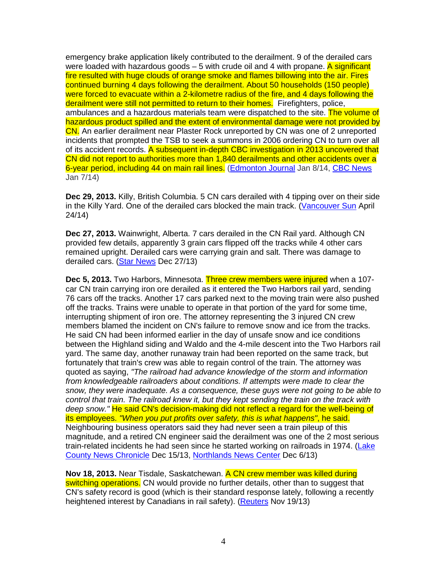emergency brake application likely contributed to the derailment. 9 of the derailed cars were loaded with hazardous goods  $-5$  with crude oil and 4 with propane. A significant fire resulted with huge clouds of orange smoke and flames billowing into the air. Fires continued burning 4 days following the derailment. About 50 households (150 people) were forced to evacuate within a 2-kilometre radius of the fire, and 4 days following the derailment were still not permitted to return to their homes. Firefighters, police, ambulances and a hazardous materials team were dispatched to the site. The volume of hazardous product spilled and the extent of environmental damage were not provided by CN. An earlier derailment near Plaster Rock unreported by CN was one of 2 unreported incidents that prompted the TSB to seek a summons in 2006 ordering CN to turn over all of its accident records. A subsequent in-depth CBC investigation in 2013 uncovered that CN did not report to authorities more than 1,840 derailments and other accidents over a 6-year period, including 44 on main rail lines. (Edmonton Journal Jan 8/14, CBC News Jan 7/14)

**Dec 29, 2013.** Killy, British Columbia. 5 CN cars derailed with 4 tipping over on their side in the Killy Yard. One of the derailed cars blocked the main track. (Vancouver Sun April 24/14)

**Dec 27, 2013.** Wainwright, Alberta. 7 cars derailed in the CN Rail yard. Although CN provided few details, apparently 3 grain cars flipped off the tracks while 4 other cars remained upright. Derailed cars were carrying grain and salt. There was damage to derailed cars. (Star News Dec 27/13)

**Dec 5, 2013.** Two Harbors, Minnesota. Three crew members were injured when a 107 car CN train carrying iron ore derailed as it entered the Two Harbors rail yard, sending 76 cars off the tracks. Another 17 cars parked next to the moving train were also pushed off the tracks. Trains were unable to operate in that portion of the yard for some time, interrupting shipment of iron ore. The attorney representing the 3 injured CN crew members blamed the incident on CN's failure to remove snow and ice from the tracks. He said CN had been informed earlier in the day of unsafe snow and ice conditions between the Highland siding and Waldo and the 4-mile descent into the Two Harbors rail yard. The same day, another runaway train had been reported on the same track, but fortunately that train's crew was able to regain control of the train. The attorney was quoted as saying, "The railroad had advance knowledge of the storm and information from knowledgeable railroaders about conditions. If attempts were made to clear the snow, they were inadequate. As a consequence, these guys were not going to be able to control that train. The railroad knew it, but they kept sending the train on the track with deep snow." He said CN's decision-making did not reflect a regard for the well-being of its employees. "When you put profits over safety, this is what happens", he said. Neighbouring business operators said they had never seen a train pileup of this magnitude, and a retired CN engineer said the derailment was one of the 2 most serious train-related incidents he had seen since he started working on railroads in 1974. (Lake County News Chronicle Dec 15/13, Northlands News Center Dec 6/13)

**Nov 18, 2013.** Near Tisdale, Saskatchewan. A CN crew member was killed during switching operations. CN would provide no further details, other than to suggest that CN's safety record is good (which is their standard response lately, following a recently heightened interest by Canadians in rail safety). (Reuters Nov 19/13)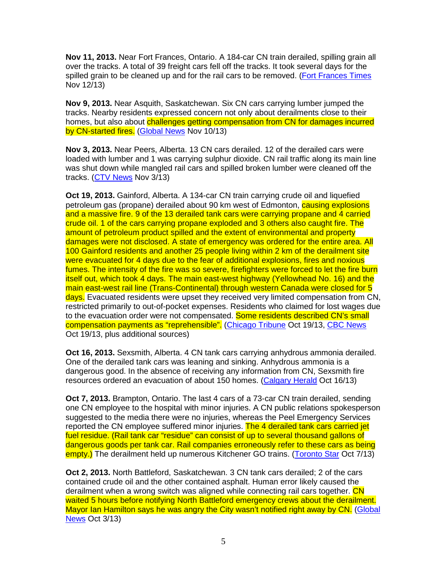**Nov 11, 2013.** Near Fort Frances, Ontario. A 184-car CN train derailed, spilling grain all over the tracks. A total of 39 freight cars fell off the tracks. It took several days for the spilled grain to be cleaned up and for the rail cars to be removed. (Fort Frances Times Nov 12/13)

**Nov 9, 2013.** Near Asquith, Saskatchewan. Six CN cars carrying lumber jumped the tracks. Nearby residents expressed concern not only about derailments close to their homes, but also about challenges getting compensation from CN for damages incurred by CN-started fires. (Global News Nov 10/13)

**Nov 3, 2013.** Near Peers, Alberta. 13 CN cars derailed. 12 of the derailed cars were loaded with lumber and 1 was carrying sulphur dioxide. CN rail traffic along its main line was shut down while mangled rail cars and spilled broken lumber were cleaned off the tracks. (CTV News Nov 3/13)

**Oct 19, 2013.** Gainford, Alberta. A 134-car CN train carrying crude oil and liquefied petroleum gas (propane) derailed about 90 km west of Edmonton, **causing explosions** and a massive fire. 9 of the 13 derailed tank cars were carrying propane and 4 carried crude oil. 1 of the cars carrying propane exploded and 3 others also caught fire. The amount of petroleum product spilled and the extent of environmental and property damages were not disclosed. A state of emergency was ordered for the entire area. All 100 Gainford residents and another 25 people living within 2 km of the derailment site were evacuated for 4 days due to the fear of additional explosions, fires and noxious fumes. The intensity of the fire was so severe, firefighters were forced to let the fire burn itself out, which took 4 days. The main east-west highway (Yellowhead No. 16) and the main east-west rail line (Trans-Continental) through western Canada were closed for 5 days. Evacuated residents were upset they received very limited compensation from CN, restricted primarily to out-of-pocket expenses. Residents who claimed for lost wages due to the evacuation order were not compensated. Some residents described CN's small compensation payments as "reprehensible". (Chicago Tribune Oct 19/13, CBC News Oct 19/13, plus additional sources)

**Oct 16, 2013.** Sexsmith, Alberta. 4 CN tank cars carrying anhydrous ammonia derailed. One of the derailed tank cars was leaning and sinking. Anhydrous ammonia is a dangerous good. In the absence of receiving any information from CN, Sexsmith fire resources ordered an evacuation of about 150 homes. (Calgary Herald Oct 16/13)

**Oct 7, 2013.** Brampton, Ontario. The last 4 cars of a 73-car CN train derailed, sending one CN employee to the hospital with minor injuries. A CN public relations spokesperson suggested to the media there were no injuries, whereas the Peel Emergency Services reported the CN employee suffered minor injuries. The 4 derailed tank cars carried jet fuel residue. (Rail tank car "residue" can consist of up to several thousand gallons of dangerous goods per tank car. Rail companies erroneously refer to these cars as being empty.) The derailment held up numerous Kitchener GO trains. (Toronto Star Oct 7/13)

**Oct 2, 2013.** North Battleford, Saskatchewan. 3 CN tank cars derailed; 2 of the cars contained crude oil and the other contained asphalt. Human error likely caused the derailment when a wrong switch was aligned while connecting rail cars together. CN waited 5 hours before notifying North Battleford emergency crews about the derailment. Mayor Ian Hamilton says he was angry the City wasn't notified right away by CN. (Global News Oct 3/13)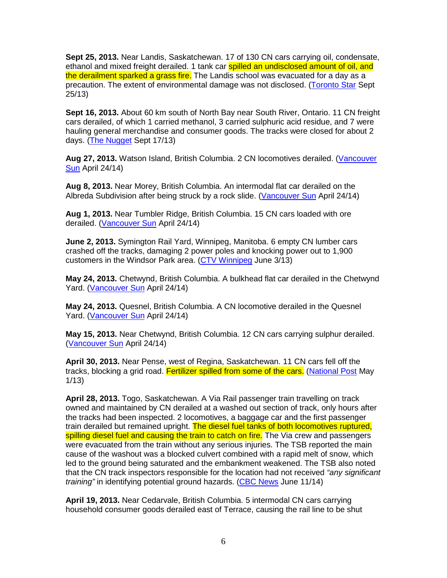**Sept 25, 2013.** Near Landis, Saskatchewan. 17 of 130 CN cars carrying oil, condensate, ethanol and mixed freight derailed. 1 tank car spilled an undisclosed amount of oil, and the derailment sparked a grass fire. The Landis school was evacuated for a day as a precaution. The extent of environmental damage was not disclosed. (Toronto Star Sept 25/13)

**Sept 16, 2013.** About 60 km south of North Bay near South River, Ontario. 11 CN freight cars derailed, of which 1 carried methanol, 3 carried sulphuric acid residue, and 7 were hauling general merchandise and consumer goods. The tracks were closed for about 2 days. (The Nugget Sept 17/13)

**Aug 27, 2013.** Watson Island, British Columbia. 2 CN locomotives derailed. (Vancouver Sun April 24/14)

**Aug 8, 2013.** Near Morey, British Columbia. An intermodal flat car derailed on the Albreda Subdivision after being struck by a rock slide. (Vancouver Sun April 24/14)

**Aug 1, 2013.** Near Tumbler Ridge, British Columbia. 15 CN cars loaded with ore derailed. (Vancouver Sun April 24/14)

**June 2, 2013.** Symington Rail Yard, Winnipeg, Manitoba. 6 empty CN lumber cars crashed off the tracks, damaging 2 power poles and knocking power out to 1,900 customers in the Windsor Park area. (CTV Winnipeg June 3/13)

**May 24, 2013.** Chetwynd, British Columbia. A bulkhead flat car derailed in the Chetwynd Yard. (Vancouver Sun April 24/14)

**May 24, 2013.** Quesnel, British Columbia. A CN locomotive derailed in the Quesnel Yard. (Vancouver Sun April 24/14)

**May 15, 2013.** Near Chetwynd, British Columbia. 12 CN cars carrying sulphur derailed. (Vancouver Sun April 24/14)

**April 30, 2013.** Near Pense, west of Regina, Saskatchewan. 11 CN cars fell off the tracks, blocking a grid road. Fertilizer spilled from some of the cars. (National Post May 1/13)

**April 28, 2013.** Togo, Saskatchewan. A Via Rail passenger train travelling on track owned and maintained by CN derailed at a washed out section of track, only hours after the tracks had been inspected. 2 locomotives, a baggage car and the first passenger train derailed but remained upright. The diesel fuel tanks of both locomotives ruptured, spilling diesel fuel and causing the train to catch on fire. The Via crew and passengers were evacuated from the train without any serious injuries. The TSB reported the main cause of the washout was a blocked culvert combined with a rapid melt of snow, which led to the ground being saturated and the embankment weakened. The TSB also noted that the CN track inspectors responsible for the location had not received "any significant" training" in identifying potential ground hazards. (CBC News June 11/14)

**April 19, 2013.** Near Cedarvale, British Columbia. 5 intermodal CN cars carrying household consumer goods derailed east of Terrace, causing the rail line to be shut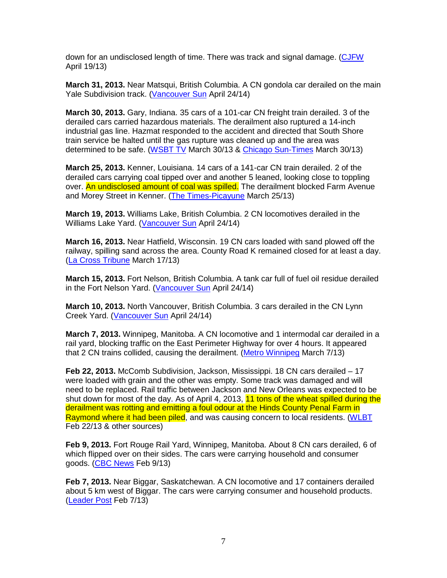down for an undisclosed length of time. There was track and signal damage. (CJFW April 19/13)

**March 31, 2013.** Near Matsqui, British Columbia. A CN gondola car derailed on the main Yale Subdivision track. (Vancouver Sun April 24/14)

**March 30, 2013.** Gary, Indiana. 35 cars of a 101-car CN freight train derailed. 3 of the derailed cars carried hazardous materials. The derailment also ruptured a 14-inch industrial gas line. Hazmat responded to the accident and directed that South Shore train service be halted until the gas rupture was cleaned up and the area was determined to be safe. (WSBT TV March 30/13 & Chicago Sun-Times March 30/13)

**March 25, 2013.** Kenner, Louisiana. 14 cars of a 141-car CN train derailed. 2 of the derailed cars carrying coal tipped over and another 5 leaned, looking close to toppling over. An undisclosed amount of coal was spilled. The derailment blocked Farm Avenue and Morey Street in Kenner. (The Times-Picayune March 25/13)

**March 19, 2013.** Williams Lake, British Columbia. 2 CN locomotives derailed in the Williams Lake Yard. (Vancouver Sun April 24/14)

**March 16, 2013.** Near Hatfield, Wisconsin. 19 CN cars loaded with sand plowed off the railway, spilling sand across the area. County Road K remained closed for at least a day. (La Cross Tribune March 17/13)

**March 15, 2013.** Fort Nelson, British Columbia. A tank car full of fuel oil residue derailed in the Fort Nelson Yard. (Vancouver Sun April 24/14)

**March 10, 2013.** North Vancouver, British Columbia. 3 cars derailed in the CN Lynn Creek Yard. (Vancouver Sun April 24/14)

**March 7, 2013.** Winnipeg, Manitoba. A CN locomotive and 1 intermodal car derailed in a rail yard, blocking traffic on the East Perimeter Highway for over 4 hours. It appeared that 2 CN trains collided, causing the derailment. (Metro Winnipeg March 7/13)

**Feb 22, 2013.** McComb Subdivision, Jackson, Mississippi. 18 CN cars derailed – 17 were loaded with grain and the other was empty. Some track was damaged and will need to be replaced. Rail traffic between Jackson and New Orleans was expected to be shut down for most of the day. As of April 4, 2013, 11 tons of the wheat spilled during the derailment was rotting and emitting a foul odour at the Hinds County Penal Farm in Raymond where it had been piled, and was causing concern to local residents. (WLBT Feb 22/13 & other sources)

**Feb 9, 2013.** Fort Rouge Rail Yard, Winnipeg, Manitoba. About 8 CN cars derailed, 6 of which flipped over on their sides. The cars were carrying household and consumer goods. (CBC News Feb 9/13)

**Feb 7, 2013.** Near Biggar, Saskatchewan. A CN locomotive and 17 containers derailed about 5 km west of Biggar. The cars were carrying consumer and household products. (Leader Post Feb 7/13)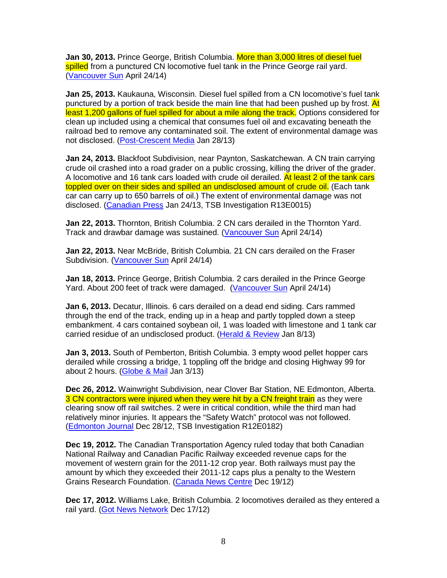**Jan 30, 2013.** Prince George, British Columbia. More than 3,000 litres of diesel fuel spilled from a punctured CN locomotive fuel tank in the Prince George rail yard. (Vancouver Sun April 24/14)

**Jan 25, 2013.** Kaukauna, Wisconsin. Diesel fuel spilled from a CN locomotive's fuel tank punctured by a portion of track beside the main line that had been pushed up by frost. At least 1,200 gallons of fuel spilled for about a mile along the track. Options considered for clean up included using a chemical that consumes fuel oil and excavating beneath the railroad bed to remove any contaminated soil. The extent of environmental damage was not disclosed. (Post-Crescent Media Jan 28/13)

**Jan 24, 2013.** Blackfoot Subdivision, near Paynton, Saskatchewan. A CN train carrying crude oil crashed into a road grader on a public crossing, killing the driver of the grader. A locomotive and 16 tank cars loaded with crude oil derailed. At least 2 of the tank cars toppled over on their sides and spilled an undisclosed amount of crude oil. (Each tank car can carry up to 650 barrels of oil.) The extent of environmental damage was not disclosed. (Canadian Press Jan 24/13, TSB Investigation R13E0015)

**Jan 22, 2013.** Thornton, British Columbia. 2 CN cars derailed in the Thornton Yard. Track and drawbar damage was sustained. (Vancouver Sun April 24/14)

**Jan 22, 2013.** Near McBride, British Columbia. 21 CN cars derailed on the Fraser Subdivision. (Vancouver Sun April 24/14)

**Jan 18, 2013.** Prince George, British Columbia. 2 cars derailed in the Prince George Yard. About 200 feet of track were damaged. (Vancouver Sun April 24/14)

**Jan 6, 2013.** Decatur, Illinois. 6 cars derailed on a dead end siding. Cars rammed through the end of the track, ending up in a heap and partly toppled down a steep embankment. 4 cars contained soybean oil, 1 was loaded with limestone and 1 tank car carried residue of an undisclosed product. (Herald & Review Jan 8/13)

**Jan 3, 2013.** South of Pemberton, British Columbia. 3 empty wood pellet hopper cars derailed while crossing a bridge, 1 toppling off the bridge and closing Highway 99 for about 2 hours. (Globe & Mail Jan 3/13)

**Dec 26, 2012.** Wainwright Subdivision, near Clover Bar Station, NE Edmonton, Alberta. 3 CN contractors were injured when they were hit by a CN freight train as they were clearing snow off rail switches. 2 were in critical condition, while the third man had relatively minor injuries. It appears the "Safety Watch" protocol was not followed. (Edmonton Journal Dec 28/12, TSB Investigation R12E0182)

**Dec 19, 2012.** The Canadian Transportation Agency ruled today that both Canadian National Railway and Canadian Pacific Railway exceeded revenue caps for the movement of western grain for the 2011-12 crop year. Both railways must pay the amount by which they exceeded their 2011-12 caps plus a penalty to the Western Grains Research Foundation. (Canada News Centre Dec 19/12)

**Dec 17, 2012.** Williams Lake, British Columbia. 2 locomotives derailed as they entered a rail yard. (Got News Network Dec 17/12)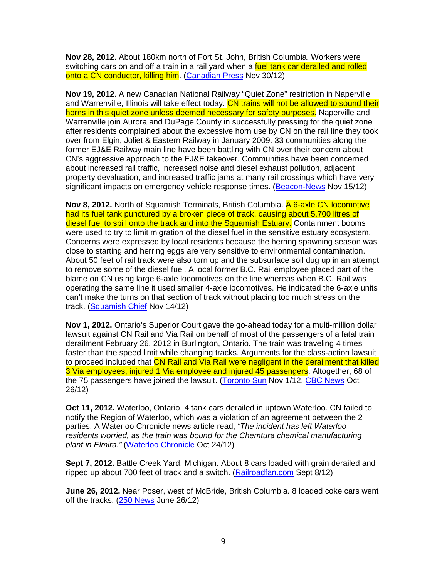**Nov 28, 2012.** About 180km north of Fort St. John, British Columbia. Workers were switching cars on and off a train in a rail yard when a fuel tank car derailed and rolled onto a CN conductor, killing him. (Canadian Press Nov 30/12)

**Nov 19, 2012.** A new Canadian National Railway "Quiet Zone" restriction in Naperville and Warrenville, Illinois will take effect today. CN trains will not be allowed to sound their horns in this quiet zone unless deemed necessary for safety purposes. Naperville and Warrenville join Aurora and DuPage County in successfully pressing for the quiet zone after residents complained about the excessive horn use by CN on the rail line they took over from Elgin, Joliet & Eastern Railway in January 2009. 33 communities along the former EJ&E Railway main line have been battling with CN over their concern about CN's aggressive approach to the EJ&E takeover. Communities have been concerned about increased rail traffic, increased noise and diesel exhaust pollution, adjacent property devaluation, and increased traffic jams at many rail crossings which have very significant impacts on emergency vehicle response times. (Beacon-News Nov 15/12)

**Nov 8, 2012.** North of Squamish Terminals, British Columbia. A 6-axle CN locomotive had its fuel tank punctured by a broken piece of track, causing about 5,700 litres of diesel fuel to spill onto the track and into the Squamish Estuary. Containment booms were used to try to limit migration of the diesel fuel in the sensitive estuary ecosystem. Concerns were expressed by local residents because the herring spawning season was close to starting and herring eggs are very sensitive to environmental contamination. About 50 feet of rail track were also torn up and the subsurface soil dug up in an attempt to remove some of the diesel fuel. A local former B.C. Rail employee placed part of the blame on CN using large 6-axle locomotives on the line whereas when B.C. Rail was operating the same line it used smaller 4-axle locomotives. He indicated the 6-axle units can't make the turns on that section of track without placing too much stress on the track. (Squamish Chief Nov 14/12)

**Nov 1, 2012.** Ontario's Superior Court gave the go-ahead today for a multi-million dollar lawsuit against CN Rail and Via Rail on behalf of most of the passengers of a fatal train derailment February 26, 2012 in Burlington, Ontario. The train was traveling 4 times faster than the speed limit while changing tracks. Arguments for the class-action lawsuit to proceed included that CN Rail and Via Rail were negligent in the derailment that killed 3 Via employees, injured 1 Via employee and injured 45 passengers. Altogether, 68 of the 75 passengers have joined the lawsuit. (Toronto Sun Nov 1/12, CBC News Oct 26/12)

**Oct 11, 2012.** Waterloo, Ontario. 4 tank cars derailed in uptown Waterloo. CN failed to notify the Region of Waterloo, which was a violation of an agreement between the 2 parties. A Waterloo Chronicle news article read, "The incident has left Waterloo residents worried, as the train was bound for the Chemtura chemical manufacturing plant in Elmira." (Waterloo Chronicle Oct 24/12)

**Sept 7, 2012.** Battle Creek Yard, Michigan. About 8 cars loaded with grain derailed and ripped up about 700 feet of track and a switch. (Railroadfan.com Sept 8/12)

**June 26, 2012.** Near Poser, west of McBride, British Columbia. 8 loaded coke cars went off the tracks. (250 News June 26/12)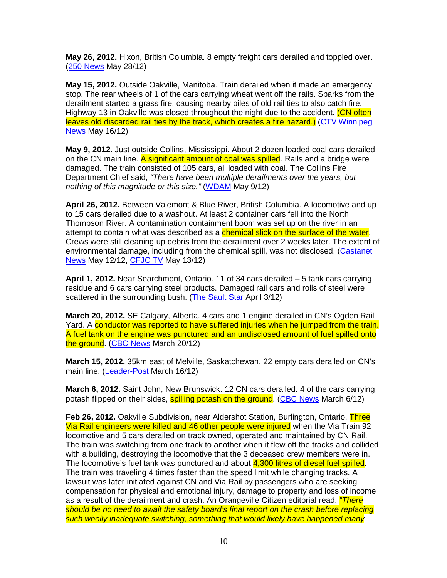**May 26, 2012.** Hixon, British Columbia. 8 empty freight cars derailed and toppled over. (250 News May 28/12)

**May 15, 2012.** Outside Oakville, Manitoba. Train derailed when it made an emergency stop. The rear wheels of 1 of the cars carrying wheat went off the rails. Sparks from the derailment started a grass fire, causing nearby piles of old rail ties to also catch fire. Highway 13 in Oakville was closed throughout the night due to the accident. (CN often leaves old discarded rail ties by the track, which creates a fire hazard.) (CTV Winnipeg News May 16/12)

**May 9, 2012.** Just outside Collins, Mississippi. About 2 dozen loaded coal cars derailed on the CN main line. A significant amount of coal was spilled. Rails and a bridge were damaged. The train consisted of 105 cars, all loaded with coal. The Collins Fire Department Chief said, "There have been multiple derailments over the years, but nothing of this magnitude or this size." (WDAM May 9/12)

**April 26, 2012.** Between Valemont & Blue River, British Columbia. A locomotive and up to 15 cars derailed due to a washout. At least 2 container cars fell into the North Thompson River. A contamination containment boom was set up on the river in an attempt to contain what was described as a *chemical slick on the surface of the water*. Crews were still cleaning up debris from the derailment over 2 weeks later. The extent of environmental damage, including from the chemical spill, was not disclosed. (Castanet News May 12/12, CFJC TV May 13/12)

**April 1, 2012.** Near Searchmont, Ontario. 11 of 34 cars derailed – 5 tank cars carrying residue and 6 cars carrying steel products. Damaged rail cars and rolls of steel were scattered in the surrounding bush. (The Sault Star April 3/12)

**March 20, 2012.** SE Calgary, Alberta. 4 cars and 1 engine derailed in CN's Ogden Rail Yard. A conductor was reported to have suffered injuries when he jumped from the train. A fuel tank on the engine was punctured and an undisclosed amount of fuel spilled onto the ground. (CBC News March 20/12)

**March 15, 2012.** 35km east of Melville, Saskatchewan. 22 empty cars derailed on CN's main line. (Leader-Post March 16/12)

**March 6, 2012.** Saint John, New Brunswick. 12 CN cars derailed. 4 of the cars carrying potash flipped on their sides, **spilling potash on the ground.** (CBC News March 6/12)

**Feb 26, 2012.** Oakville Subdivision, near Aldershot Station, Burlington, Ontario. Three Via Rail engineers were killed and 46 other people were injured when the Via Train 92 locomotive and 5 cars derailed on track owned, operated and maintained by CN Rail. The train was switching from one track to another when it flew off the tracks and collided with a building, destroying the locomotive that the 3 deceased crew members were in. The locomotive's fuel tank was punctured and about 4,300 litres of diesel fuel spilled. The train was traveling 4 times faster than the speed limit while changing tracks. A lawsuit was later initiated against CN and Via Rail by passengers who are seeking compensation for physical and emotional injury, damage to property and loss of income as a result of the derailment and crash. An Orangeville Citizen editorial read, "There should be no need to await the safety board's final report on the crash before replacing such wholly inadequate switching, something that would likely have happened many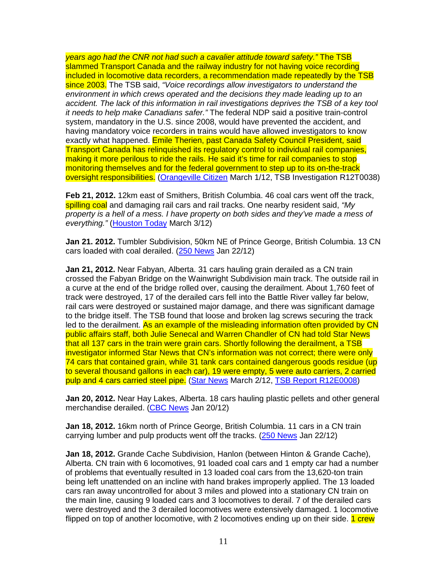years ago had the CNR not had such a cavalier attitude toward safety." The TSB slammed Transport Canada and the railway industry for not having voice recording included in locomotive data recorders, a recommendation made repeatedly by the TSB since 2003. The TSB said, "Voice recordings allow investigators to understand the environment in which crews operated and the decisions they made leading up to an accident. The lack of this information in rail investigations deprives the TSB of a key tool it needs to help make Canadians safer." The federal NDP said a positive train-control system, mandatory in the U.S. since 2008, would have prevented the accident, and having mandatory voice recorders in trains would have allowed investigators to know exactly what happened. Emile Therien, past Canada Safety Council President, said Transport Canada has relinquished its regulatory control to individual rail companies, making it more perilous to ride the rails. He said it's time for rail companies to stop monitoring themselves and for the federal government to step up to its on-the-track oversight responsibilities. (Orangeville Citizen March 1/12, TSB Investigation R12T0038)

**Feb 21, 2012.** 12km east of Smithers, British Columbia. 46 coal cars went off the track, spilling coal and damaging rail cars and rail tracks. One nearby resident said, "My property is a hell of a mess. I have property on both sides and they've made a mess of everything." (Houston Today March 3/12)

**Jan 21. 2012.** Tumbler Subdivision, 50km NE of Prince George, British Columbia. 13 CN cars loaded with coal derailed. (250 News Jan 22/12)

**Jan 21, 2012.** Near Fabyan, Alberta. 31 cars hauling grain derailed as a CN train crossed the Fabyan Bridge on the Wainwright Subdivision main track. The outside rail in a curve at the end of the bridge rolled over, causing the derailment. About 1,760 feet of track were destroyed, 17 of the derailed cars fell into the Battle River valley far below, rail cars were destroyed or sustained major damage, and there was significant damage to the bridge itself. The TSB found that loose and broken lag screws securing the track led to the derailment. As an example of the misleading information often provided by CN public affairs staff, both Julie Senecal and Warren Chandler of CN had told Star News that all 137 cars in the train were grain cars. Shortly following the derailment, a TSB investigator informed Star News that CN's information was not correct; there were only 74 cars that contained grain, while 31 tank cars contained dangerous goods residue (up to several thousand gallons in each car), 19 were empty, 5 were auto carriers, 2 carried pulp and 4 cars carried steel pipe. (Star News March 2/12, TSB Report R12E0008)

**Jan 20, 2012.** Near Hay Lakes, Alberta. 18 cars hauling plastic pellets and other general merchandise derailed. (CBC News Jan 20/12)

**Jan 18, 2012.** 16km north of Prince George, British Columbia. 11 cars in a CN train carrying lumber and pulp products went off the tracks. (250 News Jan 22/12)

**Jan 18, 2012.** Grande Cache Subdivision, Hanlon (between Hinton & Grande Cache), Alberta. CN train with 6 locomotives, 91 loaded coal cars and 1 empty car had a number of problems that eventually resulted in 13 loaded coal cars from the 13,620-ton train being left unattended on an incline with hand brakes improperly applied. The 13 loaded cars ran away uncontrolled for about 3 miles and plowed into a stationary CN train on the main line, causing 9 loaded cars and 3 locomotives to derail. 7 of the derailed cars were destroyed and the 3 derailed locomotives were extensively damaged. 1 locomotive flipped on top of another locomotive, with 2 locomotives ending up on their side. 1 crew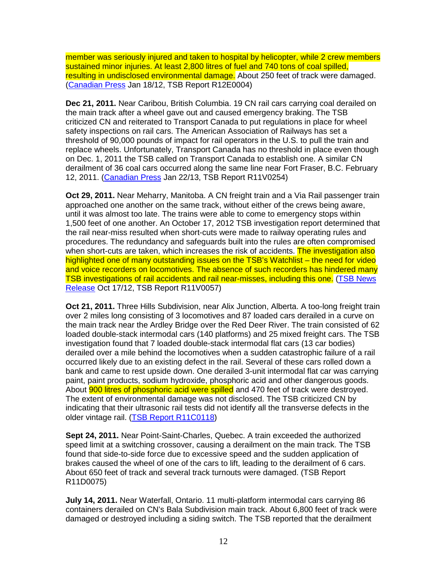member was seriously injured and taken to hospital by helicopter, while 2 crew members sustained minor injuries. At least 2,800 litres of fuel and 740 tons of coal spilled, resulting in undisclosed environmental damage. About 250 feet of track were damaged. (Canadian Press Jan 18/12, TSB Report R12E0004)

**Dec 21, 2011.** Near Caribou, British Columbia. 19 CN rail cars carrying coal derailed on the main track after a wheel gave out and caused emergency braking. The TSB criticized CN and reiterated to Transport Canada to put regulations in place for wheel safety inspections on rail cars. The American Association of Railways has set a threshold of 90,000 pounds of impact for rail operators in the U.S. to pull the train and replace wheels. Unfortunately, Transport Canada has no threshold in place even though on Dec. 1, 2011 the TSB called on Transport Canada to establish one. A similar CN derailment of 36 coal cars occurred along the same line near Fort Fraser, B.C. February 12, 2011. (Canadian Press Jan 22/13, TSB Report R11V0254)

**Oct 29, 2011.** Near Meharry, Manitoba. A CN freight train and a Via Rail passenger train approached one another on the same track, without either of the crews being aware, until it was almost too late. The trains were able to come to emergency stops within 1,500 feet of one another. An October 17, 2012 TSB investigation report determined that the rail near-miss resulted when short-cuts were made to railway operating rules and procedures. The redundancy and safeguards built into the rules are often compromised when short-cuts are taken, which increases the risk of accidents. The investigation also highlighted one of many outstanding issues on the TSB's Watchlist – the need for video and voice recorders on locomotives. The absence of such recorders has hindered many TSB investigations of rail accidents and rail near-misses, including this one. (TSB News Release Oct 17/12, TSB Report R11V0057)

**Oct 21, 2011.** Three Hills Subdivision, near Alix Junction, Alberta. A too-long freight train over 2 miles long consisting of 3 locomotives and 87 loaded cars derailed in a curve on the main track near the Ardley Bridge over the Red Deer River. The train consisted of 62 loaded double-stack intermodal cars (140 platforms) and 25 mixed freight cars. The TSB investigation found that 7 loaded double-stack intermodal flat cars (13 car bodies) derailed over a mile behind the locomotives when a sudden catastrophic failure of a rail occurred likely due to an existing defect in the rail. Several of these cars rolled down a bank and came to rest upside down. One derailed 3-unit intermodal flat car was carrying paint, paint products, sodium hydroxide, phosphoric acid and other dangerous goods. About **900 litres of phosphoric acid were spilled** and 470 feet of track were destroyed. The extent of environmental damage was not disclosed. The TSB criticized CN by indicating that their ultrasonic rail tests did not identify all the transverse defects in the older vintage rail. (TSB Report R11C0118)

**Sept 24, 2011.** Near Point-Saint-Charles, Quebec. A train exceeded the authorized speed limit at a switching crossover, causing a derailment on the main track. The TSB found that side-to-side force due to excessive speed and the sudden application of brakes caused the wheel of one of the cars to lift, leading to the derailment of 6 cars. About 650 feet of track and several track turnouts were damaged. (TSB Report R11D0075)

**July 14, 2011.** Near Waterfall, Ontario. 11 multi-platform intermodal cars carrying 86 containers derailed on CN's Bala Subdivision main track. About 6,800 feet of track were damaged or destroyed including a siding switch. The TSB reported that the derailment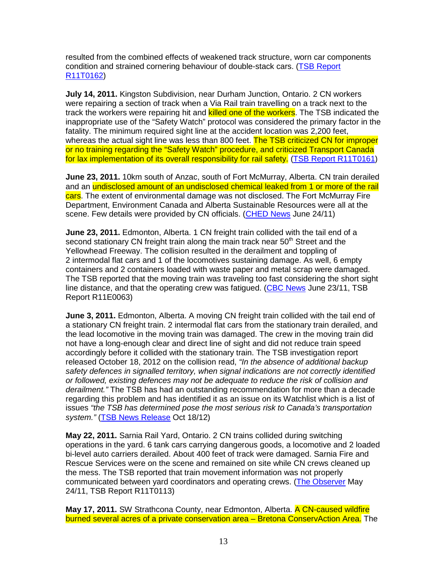resulted from the combined effects of weakened track structure, worn car components condition and strained cornering behaviour of double-stack cars. (TSB Report R11T0162)

**July 14, 2011.** Kingston Subdivision, near Durham Junction, Ontario. 2 CN workers were repairing a section of track when a Via Rail train travelling on a track next to the track the workers were repairing hit and **killed one of the workers**. The TSB indicated the inappropriate use of the "Safety Watch" protocol was considered the primary factor in the fatality. The minimum required sight line at the accident location was 2,200 feet, whereas the actual sight line was less than 800 feet. The TSB criticized CN for improper or no training regarding the "Safety Watch" procedure, and criticized Transport Canada for lax implementation of its overall responsibility for rail safety. (TSB Report R11T0161)

**June 23, 2011.** 10km south of Anzac, south of Fort McMurray, Alberta. CN train derailed and an undisclosed amount of an undisclosed chemical leaked from 1 or more of the rail cars. The extent of environmental damage was not disclosed. The Fort McMurray Fire Department, Environment Canada and Alberta Sustainable Resources were all at the scene. Few details were provided by CN officials. (CHED News June 24/11)

**June 23, 2011.** Edmonton, Alberta. 1 CN freight train collided with the tail end of a second stationary CN freight train along the main track near  $50<sup>th</sup>$  Street and the Yellowhead Freeway. The collision resulted in the derailment and toppling of 2 intermodal flat cars and 1 of the locomotives sustaining damage. As well, 6 empty containers and 2 containers loaded with waste paper and metal scrap were damaged. The TSB reported that the moving train was traveling too fast considering the short sight line distance, and that the operating crew was fatigued. (CBC News June 23/11, TSB Report R11E0063)

**June 3, 2011.** Edmonton, Alberta. A moving CN freight train collided with the tail end of a stationary CN freight train. 2 intermodal flat cars from the stationary train derailed, and the lead locomotive in the moving train was damaged. The crew in the moving train did not have a long-enough clear and direct line of sight and did not reduce train speed accordingly before it collided with the stationary train. The TSB investigation report released October 18, 2012 on the collision read, "In the absence of additional backup safety defences in signalled territory, when signal indications are not correctly identified or followed, existing defences may not be adequate to reduce the risk of collision and derailment." The TSB has had an outstanding recommendation for more than a decade regarding this problem and has identified it as an issue on its Watchlist which is a list of issues "the TSB has determined pose the most serious risk to Canada's transportation system." (TSB News Release Oct 18/12)

**May 22, 2011.** Sarnia Rail Yard, Ontario. 2 CN trains collided during switching operations in the yard. 6 tank cars carrying dangerous goods, a locomotive and 2 loaded bi-level auto carriers derailed. About 400 feet of track were damaged. Sarnia Fire and Rescue Services were on the scene and remained on site while CN crews cleaned up the mess. The TSB reported that train movement information was not properly communicated between yard coordinators and operating crews. (The Observer May 24/11, TSB Report R11T0113)

May 17, 2011. SW Strathcona County, near Edmonton, Alberta. A CN-caused wildfire burned several acres of a private conservation area – Bretona ConservAction Area. The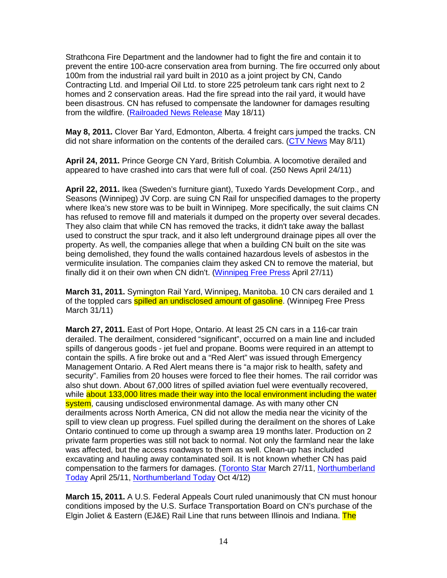Strathcona Fire Department and the landowner had to fight the fire and contain it to prevent the entire 100-acre conservation area from burning. The fire occurred only about 100m from the industrial rail yard built in 2010 as a joint project by CN, Cando Contracting Ltd. and Imperial Oil Ltd. to store 225 petroleum tank cars right next to 2 homes and 2 conservation areas. Had the fire spread into the rail yard, it would have been disastrous. CN has refused to compensate the landowner for damages resulting from the wildfire. (Railroaded News Release May 18/11)

**May 8, 2011.** Clover Bar Yard, Edmonton, Alberta. 4 freight cars jumped the tracks. CN did not share information on the contents of the derailed cars. (CTV News May 8/11)

**April 24, 2011.** Prince George CN Yard, British Columbia. A locomotive derailed and appeared to have crashed into cars that were full of coal. (250 News April 24/11)

**April 22, 2011.** Ikea (Sweden's furniture giant), Tuxedo Yards Development Corp., and Seasons (Winnipeg) JV Corp. are suing CN Rail for unspecified damages to the property where Ikea's new store was to be built in Winnipeg. More specifically, the suit claims CN has refused to remove fill and materials it dumped on the property over several decades. They also claim that while CN has removed the tracks, it didn't take away the ballast used to construct the spur track, and it also left underground drainage pipes all over the property. As well, the companies allege that when a building CN built on the site was being demolished, they found the walls contained hazardous levels of asbestos in the vermiculite insulation. The companies claim they asked CN to remove the material, but finally did it on their own when CN didn't. (Winnipeg Free Press April 27/11)

**March 31, 2011.** Symington Rail Yard, Winnipeg, Manitoba. 10 CN cars derailed and 1 of the toppled cars **spilled an undisclosed amount of gasoline**. (Winnipeg Free Press March 31/11)

**March 27, 2011.** East of Port Hope, Ontario. At least 25 CN cars in a 116-car train derailed. The derailment, considered "significant", occurred on a main line and included spills of dangerous goods - jet fuel and propane. Booms were required in an attempt to contain the spills. A fire broke out and a "Red Alert" was issued through Emergency Management Ontario. A Red Alert means there is "a major risk to health, safety and security". Families from 20 houses were forced to flee their homes. The rail corridor was also shut down. About 67,000 litres of spilled aviation fuel were eventually recovered, while about 133,000 litres made their way into the local environment including the water system, causing undisclosed environmental damage. As with many other CN derailments across North America, CN did not allow the media near the vicinity of the spill to view clean up progress. Fuel spilled during the derailment on the shores of Lake Ontario continued to come up through a swamp area 19 months later. Production on 2 private farm properties was still not back to normal. Not only the farmland near the lake was affected, but the access roadways to them as well. Clean-up has included excavating and hauling away contaminated soil. It is not known whether CN has paid compensation to the farmers for damages. (Toronto Star March 27/11, Northumberland Today April 25/11, Northumberland Today Oct 4/12)

**March 15, 2011.** A U.S. Federal Appeals Court ruled unanimously that CN must honour conditions imposed by the U.S. Surface Transportation Board on CN's purchase of the Elgin Joliet & Eastern (EJ&E) Rail Line that runs between Illinois and Indiana. The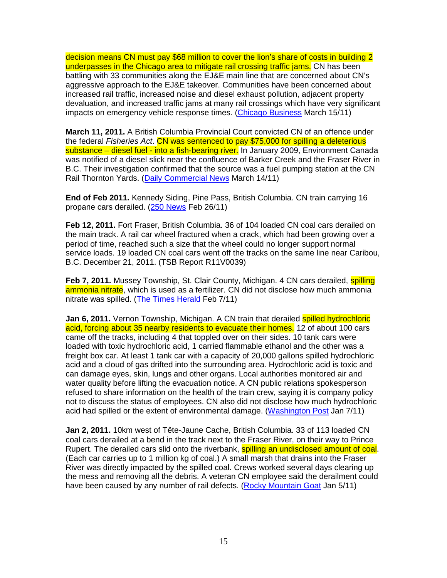decision means CN must pay \$68 million to cover the lion's share of costs in building 2 underpasses in the Chicago area to mitigate rail crossing traffic jams. CN has been battling with 33 communities along the EJ&E main line that are concerned about CN's aggressive approach to the EJ&E takeover. Communities have been concerned about increased rail traffic, increased noise and diesel exhaust pollution, adjacent property devaluation, and increased traffic jams at many rail crossings which have very significant impacts on emergency vehicle response times. (Chicago Business March 15/11)

**March 11, 2011.** A British Columbia Provincial Court convicted CN of an offence under the federal Fisheries Act. CN was sentenced to pay \$75,000 for spilling a deleterious substance – diesel fuel - into a fish-bearing river. In January 2009, Environment Canada was notified of a diesel slick near the confluence of Barker Creek and the Fraser River in B.C. Their investigation confirmed that the source was a fuel pumping station at the CN Rail Thornton Yards. (Daily Commercial News March 14/11)

**End of Feb 2011.** Kennedy Siding, Pine Pass, British Columbia. CN train carrying 16 propane cars derailed. (250 News Feb 26/11)

**Feb 12, 2011.** Fort Fraser, British Columbia. 36 of 104 loaded CN coal cars derailed on the main track. A rail car wheel fractured when a crack, which had been growing over a period of time, reached such a size that the wheel could no longer support normal service loads. 19 loaded CN coal cars went off the tracks on the same line near Caribou, B.C. December 21, 2011. (TSB Report R11V0039)

**Feb 7, 2011.** Mussey Township, St. Clair County, Michigan. 4 CN cars derailed, **spilling** ammonia nitrate, which is used as a fertilizer. CN did not disclose how much ammonia nitrate was spilled. (The Times Herald Feb 7/11)

**Jan 6, 2011.** Vernon Township, Michigan. A CN train that derailed spilled hydrochloric acid, forcing about 35 nearby residents to evacuate their homes. 12 of about 100 cars came off the tracks, including 4 that toppled over on their sides. 10 tank cars were loaded with toxic hydrochloric acid, 1 carried flammable ethanol and the other was a freight box car. At least 1 tank car with a capacity of 20,000 gallons spilled hydrochloric acid and a cloud of gas drifted into the surrounding area. Hydrochloric acid is toxic and can damage eyes, skin, lungs and other organs. Local authorities monitored air and water quality before lifting the evacuation notice. A CN public relations spokesperson refused to share information on the health of the train crew, saying it is company policy not to discuss the status of employees. CN also did not disclose how much hydrochloric acid had spilled or the extent of environmental damage. (Washington Post Jan 7/11)

**Jan 2, 2011.** 10km west of Tête-Jaune Cache, British Columbia. 33 of 113 loaded CN coal cars derailed at a bend in the track next to the Fraser River, on their way to Prince Rupert. The derailed cars slid onto the riverbank, **spilling an undisclosed amount of coal**. (Each car carries up to 1 million kg of coal.) A small marsh that drains into the Fraser River was directly impacted by the spilled coal. Crews worked several days clearing up the mess and removing all the debris. A veteran CN employee said the derailment could have been caused by any number of rail defects. (Rocky Mountain Goat Jan 5/11)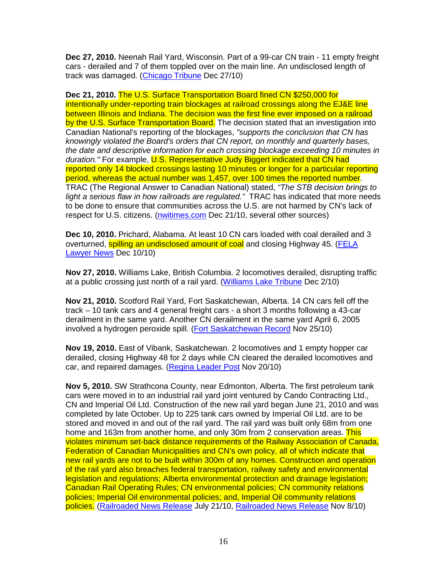**Dec 27, 2010.** Neenah Rail Yard, Wisconsin. Part of a 99-car CN train - 11 empty freight cars - derailed and 7 of them toppled over on the main line. An undisclosed length of track was damaged. (Chicago Tribune Dec 27/10)

**Dec 21, 2010.** The U.S. Surface Transportation Board fined CN \$250,000 for intentionally under-reporting train blockages at railroad crossings along the EJ&E line between Illinois and Indiana. The decision was the first fine ever imposed on a railroad by the U.S. Surface Transportation Board. The decision stated that an investigation into Canadian National's reporting of the blockages, "supports the conclusion that CN has knowingly violated the Board's orders that CN report, on monthly and quarterly bases, the date and descriptive information for each crossing blockage exceeding 10 minutes in duration." For example, U.S. Representative Judy Biggert indicated that CN had reported only 14 blocked crossings lasting 10 minutes or longer for a particular reporting period, whereas the actual number was 1,457, over 100 times the reported number. TRAC (The Regional Answer to Canadian National) stated, "The STB decision brings to light a serious flaw in how railroads are regulated." TRAC has indicated that more needs to be done to ensure that communities across the U.S. are not harmed by CN's lack of respect for U.S. citizens. (nwitimes.com Dec 21/10, several other sources)

**Dec 10, 2010.** Prichard, Alabama. At least 10 CN cars loaded with coal derailed and 3 overturned, spilling an undisclosed amount of coal and closing Highway 45. (FELA Lawyer News Dec 10/10)

**Nov 27, 2010.** Williams Lake, British Columbia. 2 locomotives derailed, disrupting traffic at a public crossing just north of a rail yard. (Williams Lake Tribune Dec 2/10)

**Nov 21, 2010.** Scotford Rail Yard, Fort Saskatchewan, Alberta. 14 CN cars fell off the track – 10 tank cars and 4 general freight cars - a short 3 months following a 43-car derailment in the same yard. Another CN derailment in the same yard April 6, 2005 involved a hydrogen peroxide spill. (Fort Saskatchewan Record Nov 25/10)

**Nov 19, 2010.** East of Vibank, Saskatchewan. 2 locomotives and 1 empty hopper car derailed, closing Highway 48 for 2 days while CN cleared the derailed locomotives and car, and repaired damages. (Regina Leader Post Nov 20/10)

**Nov 5, 2010.** SW Strathcona County, near Edmonton, Alberta. The first petroleum tank cars were moved in to an industrial rail yard joint ventured by Cando Contracting Ltd., CN and Imperial Oil Ltd. Construction of the new rail yard began June 21, 2010 and was completed by late October. Up to 225 tank cars owned by Imperial Oil Ltd. are to be stored and moved in and out of the rail yard. The rail yard was built only 68m from one home and 163m from another home, and only 30m from 2 conservation areas. This violates minimum set-back distance requirements of the Railway Association of Canada, Federation of Canadian Municipalities and CN's own policy, all of which indicate that new rail yards are not to be built within 300m of any homes. Construction and operation of the rail yard also breaches federal transportation, railway safety and environmental legislation and regulations; Alberta environmental protection and drainage legislation; Canadian Rail Operating Rules; CN environmental policies; CN community relations policies; Imperial Oil environmental policies; and, Imperial Oil community relations policies. (Railroaded News Release July 21/10, Railroaded News Release Nov 8/10)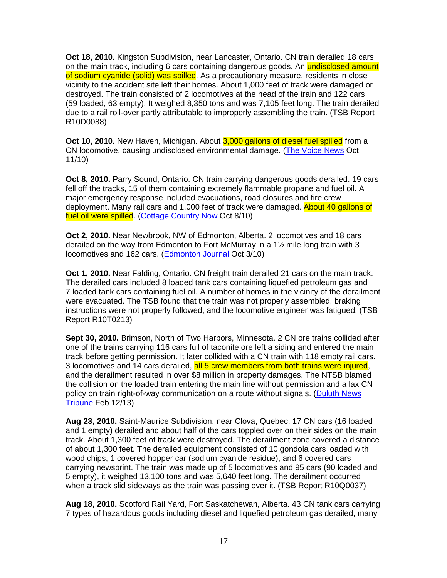**Oct 18, 2010.** Kingston Subdivision, near Lancaster, Ontario. CN train derailed 18 cars on the main track, including 6 cars containing dangerous goods. An **undisclosed amount** of sodium cyanide (solid) was spilled. As a precautionary measure, residents in close vicinity to the accident site left their homes. About 1,000 feet of track were damaged or destroyed. The train consisted of 2 locomotives at the head of the train and 122 cars (59 loaded, 63 empty). It weighed 8,350 tons and was 7,105 feet long. The train derailed due to a rail roll-over partly attributable to improperly assembling the train. (TSB Report R10D0088)

**Oct 10, 2010.** New Haven, Michigan. About 3,000 gallons of diesel fuel spilled from a CN locomotive, causing undisclosed environmental damage. (The Voice News Oct 11/10)

**Oct 8, 2010.** Parry Sound, Ontario. CN train carrying dangerous goods derailed. 19 cars fell off the tracks, 15 of them containing extremely flammable propane and fuel oil. A major emergency response included evacuations, road closures and fire crew deployment. Many rail cars and 1,000 feet of track were damaged. About 40 gallons of fuel oil were spilled. (Cottage Country Now Oct 8/10)

**Oct 2, 2010.** Near Newbrook, NW of Edmonton, Alberta. 2 locomotives and 18 cars derailed on the way from Edmonton to Fort McMurray in a 1½ mile long train with 3 locomotives and 162 cars. (Edmonton Journal Oct 3/10)

**Oct 1, 2010.** Near Falding, Ontario. CN freight train derailed 21 cars on the main track. The derailed cars included 8 loaded tank cars containing liquefied petroleum gas and 7 loaded tank cars containing fuel oil. A number of homes in the vicinity of the derailment were evacuated. The TSB found that the train was not properly assembled, braking instructions were not properly followed, and the locomotive engineer was fatigued. (TSB Report R10T0213)

**Sept 30, 2010.** Brimson, North of Two Harbors, Minnesota. 2 CN ore trains collided after one of the trains carrying 116 cars full of taconite ore left a siding and entered the main track before getting permission. It later collided with a CN train with 118 empty rail cars. 3 locomotives and 14 cars derailed, all 5 crew members from both trains were injured, and the derailment resulted in over \$8 million in property damages. The NTSB blamed the collision on the loaded train entering the main line without permission and a lax CN policy on train right-of-way communication on a route without signals. (Duluth News Tribune Feb 12/13)

**Aug 23, 2010.** Saint-Maurice Subdivision, near Clova, Quebec. 17 CN cars (16 loaded and 1 empty) derailed and about half of the cars toppled over on their sides on the main track. About 1,300 feet of track were destroyed. The derailment zone covered a distance of about 1,300 feet. The derailed equipment consisted of 10 gondola cars loaded with wood chips, 1 covered hopper car (sodium cyanide residue), and 6 covered cars carrying newsprint. The train was made up of 5 locomotives and 95 cars (90 loaded and 5 empty), it weighed 13,100 tons and was 5,640 feet long. The derailment occurred when a track slid sideways as the train was passing over it. (TSB Report R10Q0037)

**Aug 18, 2010.** Scotford Rail Yard, Fort Saskatchewan, Alberta. 43 CN tank cars carrying 7 types of hazardous goods including diesel and liquefied petroleum gas derailed, many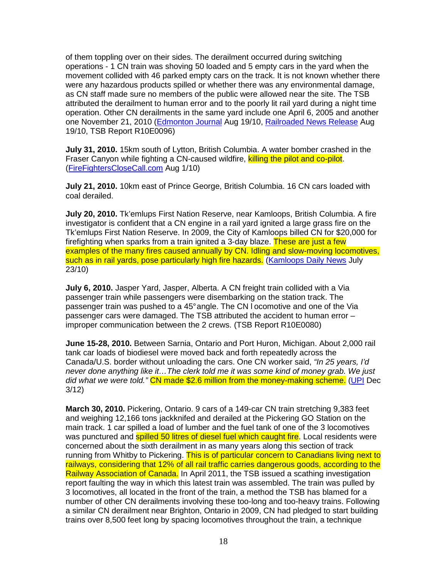of them toppling over on their sides. The derailment occurred during switching operations - 1 CN train was shoving 50 loaded and 5 empty cars in the yard when the movement collided with 46 parked empty cars on the track. It is not known whether there were any hazardous products spilled or whether there was any environmental damage, as CN staff made sure no members of the public were allowed near the site. The TSB attributed the derailment to human error and to the poorly lit rail yard during a night time operation. Other CN derailments in the same yard include one April 6, 2005 and another one November 21, 2010 (Edmonton Journal Aug 19/10, Railroaded News Release Aug 19/10, TSB Report R10E0096)

**July 31, 2010.** 15km south of Lytton, British Columbia. A water bomber crashed in the Fraser Canyon while fighting a CN-caused wildfire, killing the pilot and co-pilot. (FireFightersCloseCall.com Aug 1/10)

**July 21, 2010.** 10km east of Prince George, British Columbia. 16 CN cars loaded with coal derailed.

**July 20, 2010.** Tk'emlups First Nation Reserve, near Kamloops, British Columbia. A fire investigator is confident that a CN engine in a rail yard ignited a large grass fire on the Tk'emlups First Nation Reserve. In 2009, the City of Kamloops billed CN for \$20,000 for firefighting when sparks from a train ignited a 3-day blaze. These are just a few examples of the many fires caused annually by CN. Idling and slow-moving locomotives, such as in rail yards, pose particularly high fire hazards. (Kamloops Daily News July 23/10)

**July 6, 2010.** Jasper Yard, Jasper, Alberta. A CN freight train collided with a Via passenger train while passengers were disembarking on the station track. The passenger train was pushed to a 45° angle. The CN l ocomotive and one of the Via passenger cars were damaged. The TSB attributed the accident to human error – improper communication between the 2 crews. (TSB Report R10E0080)

**June 15-28, 2010.** Between Sarnia, Ontario and Port Huron, Michigan. About 2,000 rail tank car loads of biodiesel were moved back and forth repeatedly across the Canada/U.S. border without unloading the cars. One CN worker said, "In 25 years, I'd never done anything like it…The clerk told me it was some kind of money grab. We just did what we were told." CN made \$2.6 million from the money-making scheme. (UPI Dec 3/12)

**March 30, 2010.** Pickering, Ontario. 9 cars of a 149-car CN train stretching 9,383 feet and weighing 12,166 tons jackknifed and derailed at the Pickering GO Station on the main track. 1 car spilled a load of lumber and the fuel tank of one of the 3 locomotives was punctured and **spilled 50 litres of diesel fuel which caught fire**. Local residents were concerned about the sixth derailment in as many years along this section of track running from Whitby to Pickering. This is of particular concern to Canadians living next to railways, considering that 12% of all rail traffic carries dangerous goods, according to the Railway Association of Canada. In April 2011, the TSB issued a scathing investigation report faulting the way in which this latest train was assembled. The train was pulled by 3 locomotives, all located in the front of the train, a method the TSB has blamed for a number of other CN derailments involving these too-long and too-heavy trains. Following a similar CN derailment near Brighton, Ontario in 2009, CN had pledged to start building trains over 8,500 feet long by spacing locomotives throughout the train, a technique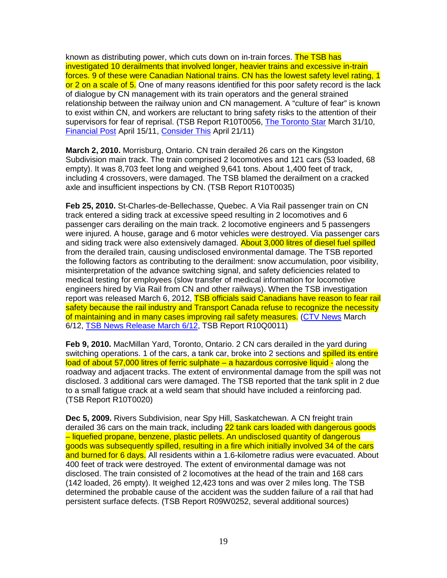known as distributing power, which cuts down on in-train forces. The TSB has investigated 10 derailments that involved longer, heavier trains and excessive in-train forces. 9 of these were Canadian National trains. CN has the lowest safety level rating, 1 or 2 on a scale of 5. One of many reasons identified for this poor safety record is the lack of dialogue by CN management with its train operators and the general strained relationship between the railway union and CN management. A "culture of fear" is known to exist within CN, and workers are reluctant to bring safety risks to the attention of their supervisors for fear of reprisal. (TSB Report R10T0056, The Toronto Star March 31/10, Financial Post April 15/11, Consider This April 21/11)

**March 2, 2010.** Morrisburg, Ontario. CN train derailed 26 cars on the Kingston Subdivision main track. The train comprised 2 locomotives and 121 cars (53 loaded, 68 empty). It was 8,703 feet long and weighed 9,641 tons. About 1,400 feet of track, including 4 crossovers, were damaged. The TSB blamed the derailment on a cracked axle and insufficient inspections by CN. (TSB Report R10T0035)

**Feb 25, 2010.** St-Charles-de-Bellechasse, Quebec. A Via Rail passenger train on CN track entered a siding track at excessive speed resulting in 2 locomotives and 6 passenger cars derailing on the main track. 2 locomotive engineers and 5 passengers were injured. A house, garage and 6 motor vehicles were destroyed. Via passenger cars and siding track were also extensively damaged. About 3,000 litres of diesel fuel spilled from the derailed train, causing undisclosed environmental damage. The TSB reported the following factors as contributing to the derailment: snow accumulation, poor visibility, misinterpretation of the advance switching signal, and safety deficiencies related to medical testing for employees (slow transfer of medical information for locomotive engineers hired by Via Rail from CN and other railways). When the TSB investigation report was released March 6, 2012, **TSB officials said Canadians have reason to fear rail** safety because the rail industry and Transport Canada refuse to recognize the necessity of maintaining and in many cases improving rail safety measures. (CTV News March 6/12, TSB News Release March 6/12, TSB Report R10Q0011)

**Feb 9, 2010.** MacMillan Yard, Toronto, Ontario. 2 CN cars derailed in the yard during switching operations. 1 of the cars, a tank car, broke into 2 sections and spilled its entire load of about 57,000 litres of ferric sulphate – a hazardous corrosive liquid - along the roadway and adjacent tracks. The extent of environmental damage from the spill was not disclosed. 3 additional cars were damaged. The TSB reported that the tank split in 2 due to a small fatigue crack at a weld seam that should have included a reinforcing pad. (TSB Report R10T0020)

**Dec 5, 2009.** Rivers Subdivision, near Spy Hill, Saskatchewan. A CN freight train derailed 36 cars on the main track, including 22 tank cars loaded with dangerous goods – liquefied propane, benzene, plastic pellets. An undisclosed quantity of dangerous goods was subsequently spilled, resulting in a fire which initially involved 34 of the cars and burned for 6 days. All residents within a 1.6-kilometre radius were evacuated. About 400 feet of track were destroyed. The extent of environmental damage was not disclosed. The train consisted of 2 locomotives at the head of the train and 168 cars (142 loaded, 26 empty). It weighed 12,423 tons and was over 2 miles long. The TSB determined the probable cause of the accident was the sudden failure of a rail that had persistent surface defects. (TSB Report R09W0252, several additional sources)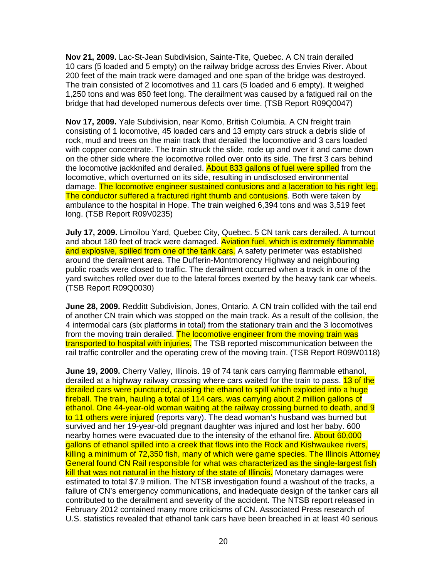**Nov 21, 2009.** Lac-St-Jean Subdivision, Sainte-Tite, Quebec. A CN train derailed 10 cars (5 loaded and 5 empty) on the railway bridge across des Envies River. About 200 feet of the main track were damaged and one span of the bridge was destroyed. The train consisted of 2 locomotives and 11 cars (5 loaded and 6 empty). It weighed 1,250 tons and was 850 feet long. The derailment was caused by a fatigued rail on the bridge that had developed numerous defects over time. (TSB Report R09Q0047)

**Nov 17, 2009.** Yale Subdivision, near Komo, British Columbia. A CN freight train consisting of 1 locomotive, 45 loaded cars and 13 empty cars struck a debris slide of rock, mud and trees on the main track that derailed the locomotive and 3 cars loaded with copper concentrate. The train struck the slide, rode up and over it and came down on the other side where the locomotive rolled over onto its side. The first 3 cars behind the locomotive jackknifed and derailed. About 833 gallons of fuel were spilled from the locomotive, which overturned on its side, resulting in undisclosed environmental damage. The locomotive engineer sustained contusions and a laceration to his right leg. The conductor suffered a fractured right thumb and contusions. Both were taken by ambulance to the hospital in Hope. The train weighed 6,394 tons and was 3,519 feet long. (TSB Report R09V0235)

**July 17, 2009.** Limoilou Yard, Quebec City, Quebec. 5 CN tank cars derailed. A turnout and about 180 feet of track were damaged. Aviation fuel, which is extremely flammable and explosive, spilled from one of the tank cars. A safety perimeter was established around the derailment area. The Dufferin-Montmorency Highway and neighbouring public roads were closed to traffic. The derailment occurred when a track in one of the yard switches rolled over due to the lateral forces exerted by the heavy tank car wheels. (TSB Report R09Q0030)

**June 28, 2009.** Redditt Subdivision, Jones, Ontario. A CN train collided with the tail end of another CN train which was stopped on the main track. As a result of the collision, the 4 intermodal cars (six platforms in total) from the stationary train and the 3 locomotives from the moving train derailed. The locomotive engineer from the moving train was transported to hospital with injuries. The TSB reported miscommunication between the rail traffic controller and the operating crew of the moving train. (TSB Report R09W0118)

**June 19, 2009.** Cherry Valley, Illinois. 19 of 74 tank cars carrying flammable ethanol, derailed at a highway railway crossing where cars waited for the train to pass. 13 of the derailed cars were punctured, causing the ethanol to spill which exploded into a huge fireball. The train, hauling a total of 114 cars, was carrying about 2 million gallons of ethanol. One 44-year-old woman waiting at the railway crossing burned to death, and 9 to 11 others were injured (reports vary). The dead woman's husband was burned but survived and her 19-year-old pregnant daughter was injured and lost her baby. 600 nearby homes were evacuated due to the intensity of the ethanol fire. About 60,000 gallons of ethanol spilled into a creek that flows into the Rock and Kishwaukee rivers, killing a minimum of 72,350 fish, many of which were game species. The Illinois Attorney General found CN Rail responsible for what was characterized as the single-largest fish kill that was not natural in the history of the state of Illinois. Monetary damages were estimated to total \$7.9 million. The NTSB investigation found a washout of the tracks, a failure of CN's emergency communications, and inadequate design of the tanker cars all contributed to the derailment and severity of the accident. The NTSB report released in February 2012 contained many more criticisms of CN. Associated Press research of U.S. statistics revealed that ethanol tank cars have been breached in at least 40 serious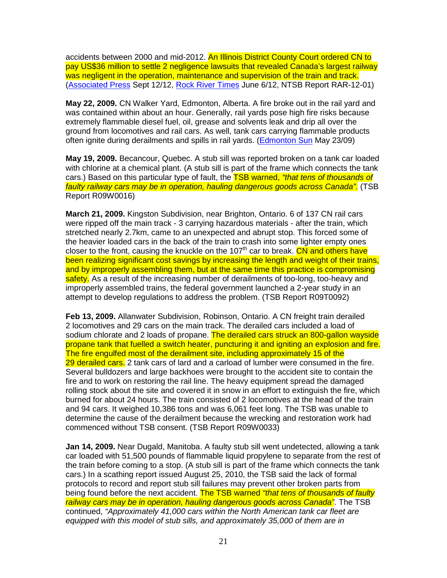accidents between 2000 and mid-2012. An Illinois District County Court ordered CN to pay US\$36 million to settle 2 negligence lawsuits that revealed Canada's largest railway was negligent in the operation, maintenance and supervision of the train and track. (Associated Press Sept 12/12, Rock River Times June 6/12, NTSB Report RAR-12-01)

**May 22, 2009.** CN Walker Yard, Edmonton, Alberta. A fire broke out in the rail yard and was contained within about an hour. Generally, rail yards pose high fire risks because extremely flammable diesel fuel, oil, grease and solvents leak and drip all over the ground from locomotives and rail cars. As well, tank cars carrying flammable products often ignite during derailments and spills in rail yards. (Edmonton Sun May 23/09)

**May 19, 2009.** Becancour, Quebec. A stub sill was reported broken on a tank car loaded with chlorine at a chemical plant. (A stub sill is part of the frame which connects the tank cars.) Based on this particular type of fault, the TSB warned, "that tens of thousands of faulty railway cars may be in operation, hauling dangerous goods across Canada". (TSB Report R09W0016)

**March 21, 2009.** Kingston Subdivision, near Brighton, Ontario. 6 of 137 CN rail cars were ripped off the main track - 3 carrying hazardous materials - after the train, which stretched nearly 2.7km, came to an unexpected and abrupt stop. This forced some of the heavier loaded cars in the back of the train to crash into some lighter empty ones closer to the front, causing the knuckle on the 107<sup>th</sup> car to break. CN and others have been realizing significant cost savings by increasing the length and weight of their trains, and by improperly assembling them, but at the same time this practice is compromising safety. As a result of the increasing number of derailments of too-long, too-heavy and improperly assembled trains, the federal government launched a 2-year study in an attempt to develop regulations to address the problem. (TSB Report R09T0092)

**Feb 13, 2009.** Allanwater Subdivision, Robinson, Ontario. A CN freight train derailed 2 locomotives and 29 cars on the main track. The derailed cars included a load of sodium chlorate and 2 loads of propane. The derailed cars struck an 800-gallon wayside propane tank that fuelled a switch heater, puncturing it and igniting an explosion and fire. The fire engulfed most of the derailment site, including approximately 15 of the 29 derailed cars. 2 tank cars of lard and a carload of lumber were consumed in the fire. Several bulldozers and large backhoes were brought to the accident site to contain the fire and to work on restoring the rail line. The heavy equipment spread the damaged rolling stock about the site and covered it in snow in an effort to extinguish the fire, which burned for about 24 hours. The train consisted of 2 locomotives at the head of the train and 94 cars. It weighed 10,386 tons and was 6,061 feet long. The TSB was unable to determine the cause of the derailment because the wrecking and restoration work had commenced without TSB consent. (TSB Report R09W0033)

**Jan 14, 2009.** Near Dugald, Manitoba. A faulty stub sill went undetected, allowing a tank car loaded with 51,500 pounds of flammable liquid propylene to separate from the rest of the train before coming to a stop. (A stub sill is part of the frame which connects the tank cars.) In a scathing report issued August 25, 2010, the TSB said the lack of formal protocols to record and report stub sill failures may prevent other broken parts from being found before the next accident. The TSB warned "that tens of thousands of faulty railway cars may be in operation, hauling dangerous goods across Canada". The TSB continued, "Approximately 41,000 cars within the North American tank car fleet are equipped with this model of stub sills, and approximately 35,000 of them are in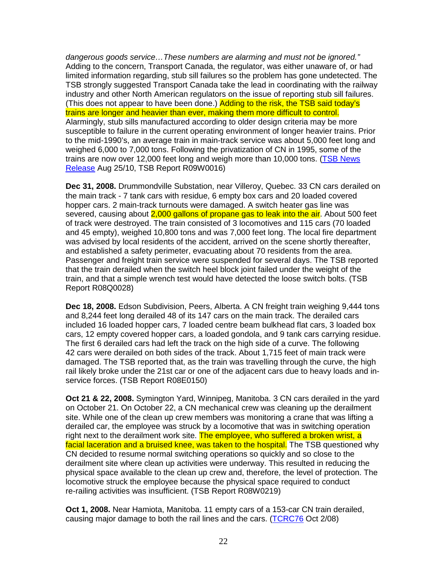dangerous goods service…These numbers are alarming and must not be ignored." Adding to the concern, Transport Canada, the regulator, was either unaware of, or had limited information regarding, stub sill failures so the problem has gone undetected. The TSB strongly suggested Transport Canada take the lead in coordinating with the railway industry and other North American regulators on the issue of reporting stub sill failures. (This does not appear to have been done.) Adding to the risk, the TSB said today's trains are longer and heavier than ever, making them more difficult to control. Alarmingly, stub sills manufactured according to older design criteria may be more susceptible to failure in the current operating environment of longer heavier trains. Prior to the mid-1990's, an average train in main-track service was about 5,000 feet long and weighed 6,000 to 7,000 tons. Following the privatization of CN in 1995, some of the trains are now over 12,000 feet long and weigh more than 10,000 tons. (TSB News Release Aug 25/10, TSB Report R09W0016)

**Dec 31, 2008.** Drummondville Substation, near Villeroy, Quebec. 33 CN cars derailed on the main track - 7 tank cars with residue, 6 empty box cars and 20 loaded covered hopper cars. 2 main-track turnouts were damaged. A switch heater gas line was severed, causing about 2,000 gallons of propane gas to leak into the air. About 500 feet of track were destroyed. The train consisted of 3 locomotives and 115 cars (70 loaded and 45 empty), weighed 10,800 tons and was 7,000 feet long. The local fire department was advised by local residents of the accident, arrived on the scene shortly thereafter, and established a safety perimeter, evacuating about 70 residents from the area. Passenger and freight train service were suspended for several days. The TSB reported that the train derailed when the switch heel block joint failed under the weight of the train, and that a simple wrench test would have detected the loose switch bolts. (TSB Report R08Q0028)

**Dec 18, 2008.** Edson Subdivision, Peers, Alberta. A CN freight train weighing 9,444 tons and 8,244 feet long derailed 48 of its 147 cars on the main track. The derailed cars included 16 loaded hopper cars, 7 loaded centre beam bulkhead flat cars, 3 loaded box cars, 12 empty covered hopper cars, a loaded gondola, and 9 tank cars carrying residue. The first 6 derailed cars had left the track on the high side of a curve. The following 42 cars were derailed on both sides of the track. About 1,715 feet of main track were damaged. The TSB reported that, as the train was travelling through the curve, the high rail likely broke under the 21st car or one of the adjacent cars due to heavy loads and inservice forces. (TSB Report R08E0150)

**Oct 21 & 22, 2008.** Symington Yard, Winnipeg, Manitoba. 3 CN cars derailed in the yard on October 21. On October 22, a CN mechanical crew was cleaning up the derailment site. While one of the clean up crew members was monitoring a crane that was lifting a derailed car, the employee was struck by a locomotive that was in switching operation right next to the derailment work site. The employee, who suffered a broken wrist, a facial laceration and a bruised knee, was taken to the hospital. The TSB questioned why CN decided to resume normal switching operations so quickly and so close to the derailment site where clean up activities were underway. This resulted in reducing the physical space available to the clean up crew and, therefore, the level of protection. The locomotive struck the employee because the physical space required to conduct re-railing activities was insufficient. (TSB Report R08W0219)

**Oct 1, 2008.** Near Hamiota, Manitoba. 11 empty cars of a 153-car CN train derailed, causing major damage to both the rail lines and the cars. (TCRC76 Oct 2/08)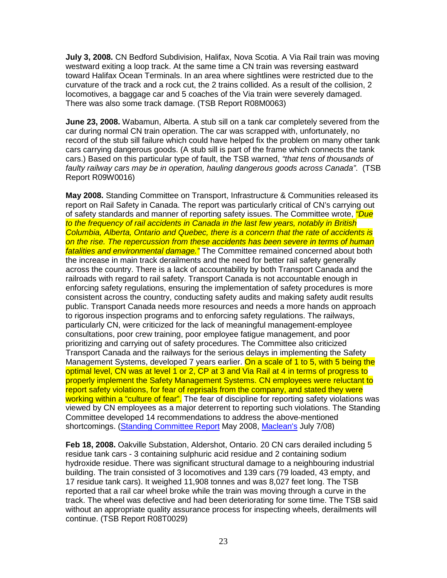**July 3, 2008.** CN Bedford Subdivision, Halifax, Nova Scotia. A Via Rail train was moving westward exiting a loop track. At the same time a CN train was reversing eastward toward Halifax Ocean Terminals. In an area where sightlines were restricted due to the curvature of the track and a rock cut, the 2 trains collided. As a result of the collision, 2 locomotives, a baggage car and 5 coaches of the Via train were severely damaged. There was also some track damage. (TSB Report R08M0063)

**June 23, 2008.** Wabamun, Alberta. A stub sill on a tank car completely severed from the car during normal CN train operation. The car was scrapped with, unfortunately, no record of the stub sill failure which could have helped fix the problem on many other tank cars carrying dangerous goods. (A stub sill is part of the frame which connects the tank cars.) Based on this particular type of fault, the TSB warned, "that tens of thousands of faulty railway cars may be in operation, hauling dangerous goods across Canada". (TSB Report R09W0016)

**May 2008.** Standing Committee on Transport, Infrastructure & Communities released its report on Rail Safety in Canada. The report was particularly critical of CN's carrying out of safety standards and manner of reporting safety issues. The Committee wrote, "Due to the frequency of rail accidents in Canada in the last few years, notably in British Columbia, Alberta, Ontario and Quebec, there is a concern that the rate of accidents is on the rise. The repercussion from these accidents has been severe in terms of human fatalities and environmental damage." The Committee remained concerned about both the increase in main track derailments and the need for better rail safety generally across the country. There is a lack of accountability by both Transport Canada and the railroads with regard to rail safety. Transport Canada is not accountable enough in enforcing safety regulations, ensuring the implementation of safety procedures is more consistent across the country, conducting safety audits and making safety audit results public. Transport Canada needs more resources and needs a more hands on approach to rigorous inspection programs and to enforcing safety regulations. The railways, particularly CN, were criticized for the lack of meaningful management-employee consultations, poor crew training, poor employee fatigue management, and poor prioritizing and carrying out of safety procedures. The Committee also criticized Transport Canada and the railways for the serious delays in implementing the Safety Management Systems, developed 7 years earlier. On a scale of 1 to 5, with 5 being the optimal level, CN was at level 1 or 2, CP at 3 and Via Rail at 4 in terms of progress to properly implement the Safety Management Systems. CN employees were reluctant to report safety violations, for fear of reprisals from the company, and stated they were working within a "culture of fear". The fear of discipline for reporting safety violations was viewed by CN employees as a major deterrent to reporting such violations. The Standing Committee developed 14 recommendations to address the above-mentioned shortcomings. (Standing Committee Report May 2008, Maclean's July 7/08)

**Feb 18, 2008.** Oakville Substation, Aldershot, Ontario. 20 CN cars derailed including 5 residue tank cars - 3 containing sulphuric acid residue and 2 containing sodium hydroxide residue. There was significant structural damage to a neighbouring industrial building. The train consisted of 3 locomotives and 139 cars (79 loaded, 43 empty, and 17 residue tank cars). It weighed 11,908 tonnes and was 8,027 feet long. The TSB reported that a rail car wheel broke while the train was moving through a curve in the track. The wheel was defective and had been deteriorating for some time. The TSB said without an appropriate quality assurance process for inspecting wheels, derailments will continue. (TSB Report R08T0029)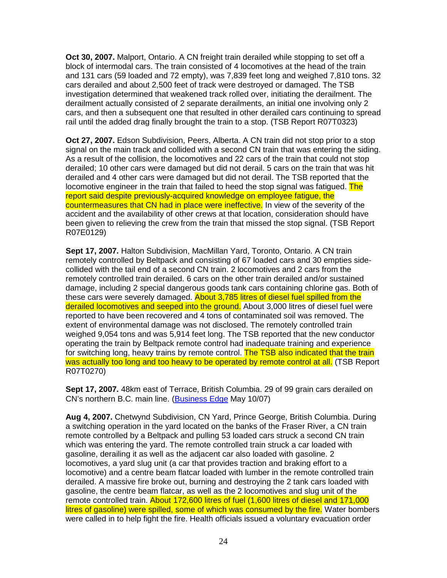**Oct 30, 2007.** Malport, Ontario. A CN freight train derailed while stopping to set off a block of intermodal cars. The train consisted of 4 locomotives at the head of the train and 131 cars (59 loaded and 72 empty), was 7,839 feet long and weighed 7,810 tons. 32 cars derailed and about 2,500 feet of track were destroyed or damaged. The TSB investigation determined that weakened track rolled over, initiating the derailment. The derailment actually consisted of 2 separate derailments, an initial one involving only 2 cars, and then a subsequent one that resulted in other derailed cars continuing to spread rail until the added drag finally brought the train to a stop. (TSB Report R07T0323)

**Oct 27, 2007.** Edson Subdivision, Peers, Alberta. A CN train did not stop prior to a stop signal on the main track and collided with a second CN train that was entering the siding. As a result of the collision, the locomotives and 22 cars of the train that could not stop derailed; 10 other cars were damaged but did not derail. 5 cars on the train that was hit derailed and 4 other cars were damaged but did not derail. The TSB reported that the locomotive engineer in the train that failed to heed the stop signal was fatigued. The report said despite previously-acquired knowledge on employee fatigue, the countermeasures that CN had in place were ineffective. In view of the severity of the accident and the availability of other crews at that location, consideration should have been given to relieving the crew from the train that missed the stop signal. (TSB Report R07E0129)

**Sept 17, 2007.** Halton Subdivision, MacMillan Yard, Toronto, Ontario. A CN train remotely controlled by Beltpack and consisting of 67 loaded cars and 30 empties sidecollided with the tail end of a second CN train. 2 locomotives and 2 cars from the remotely controlled train derailed. 6 cars on the other train derailed and/or sustained damage, including 2 special dangerous goods tank cars containing chlorine gas. Both of these cars were severely damaged. About 3,785 litres of diesel fuel spilled from the derailed locomotives and seeped into the ground. About 3,000 litres of diesel fuel were reported to have been recovered and 4 tons of contaminated soil was removed. The extent of environmental damage was not disclosed. The remotely controlled train weighed 9,054 tons and was 5,914 feet long. The TSB reported that the new conductor operating the train by Beltpack remote control had inadequate training and experience for switching long, heavy trains by remote control. The TSB also indicated that the train was actually too long and too heavy to be operated by remote control at all. (TSB Report R07T0270)

**Sept 17, 2007.** 48km east of Terrace, British Columbia. 29 of 99 grain cars derailed on CN's northern B.C. main line. (Business Edge May 10/07)

**Aug 4, 2007.** Chetwynd Subdivision, CN Yard, Prince George, British Columbia. During a switching operation in the yard located on the banks of the Fraser River, a CN train remote controlled by a Beltpack and pulling 53 loaded cars struck a second CN train which was entering the yard. The remote controlled train struck a car loaded with gasoline, derailing it as well as the adjacent car also loaded with gasoline. 2 locomotives, a yard slug unit (a car that provides traction and braking effort to a locomotive) and a centre beam flatcar loaded with lumber in the remote controlled train derailed. A massive fire broke out, burning and destroying the 2 tank cars loaded with gasoline, the centre beam flatcar, as well as the 2 locomotives and slug unit of the remote controlled train. About 172,600 litres of fuel (1,600 litres of diesel and 171,000 litres of gasoline) were spilled, some of which was consumed by the fire. Water bombers were called in to help fight the fire. Health officials issued a voluntary evacuation order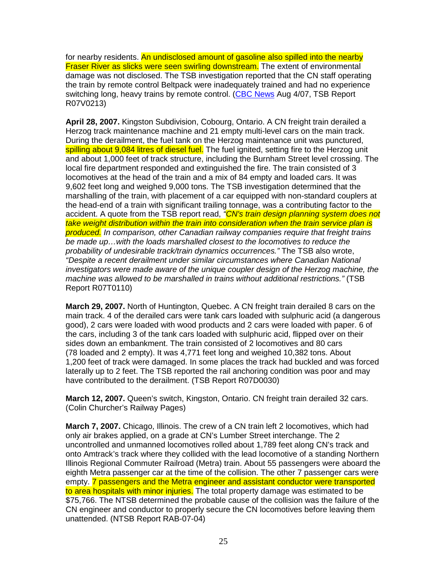for nearby residents. An undisclosed amount of gasoline also spilled into the nearby Fraser River as slicks were seen swirling downstream. The extent of environmental damage was not disclosed. The TSB investigation reported that the CN staff operating the train by remote control Beltpack were inadequately trained and had no experience switching long, heavy trains by remote control. (CBC News Aug 4/07, TSB Report R07V0213)

**April 28, 2007.** Kingston Subdivision, Cobourg, Ontario. A CN freight train derailed a Herzog track maintenance machine and 21 empty multi-level cars on the main track. During the derailment, the fuel tank on the Herzog maintenance unit was punctured, spilling about 9,084 litres of diesel fuel. The fuel ignited, setting fire to the Herzog unit and about 1,000 feet of track structure, including the Burnham Street level crossing. The local fire department responded and extinguished the fire. The train consisted of 3 locomotives at the head of the train and a mix of 84 empty and loaded cars. It was 9,602 feet long and weighed 9,000 tons. The TSB investigation determined that the marshalling of the train, with placement of a car equipped with non-standard couplers at the head-end of a train with significant trailing tonnage, was a contributing factor to the accident. A quote from the TSB report read, "CN's train design planning system does not take weight distribution within the train into consideration when the train service plan is produced. In comparison, other Canadian railway companies require that freight trains be made up…with the loads marshalled closest to the locomotives to reduce the probability of undesirable track/train dynamics occurrences." The TSB also wrote, "Despite a recent derailment under similar circumstances where Canadian National investigators were made aware of the unique coupler design of the Herzog machine, the machine was allowed to be marshalled in trains without additional restrictions." (TSB Report R07T0110)

**March 29, 2007.** North of Huntington, Quebec. A CN freight train derailed 8 cars on the main track. 4 of the derailed cars were tank cars loaded with sulphuric acid (a dangerous good), 2 cars were loaded with wood products and 2 cars were loaded with paper. 6 of the cars, including 3 of the tank cars loaded with sulphuric acid, flipped over on their sides down an embankment. The train consisted of 2 locomotives and 80 cars (78 loaded and 2 empty). It was 4,771 feet long and weighed 10,382 tons. About 1,200 feet of track were damaged. In some places the track had buckled and was forced laterally up to 2 feet. The TSB reported the rail anchoring condition was poor and may have contributed to the derailment. (TSB Report R07D0030)

**March 12, 2007.** Queen's switch, Kingston, Ontario. CN freight train derailed 32 cars. (Colin Churcher's Railway Pages)

**March 7, 2007.** Chicago, Illinois. The crew of a CN train left 2 locomotives, which had only air brakes applied, on a grade at CN's Lumber Street interchange. The 2 uncontrolled and unmanned locomotives rolled about 1,789 feet along CN's track and onto Amtrack's track where they collided with the lead locomotive of a standing Northern Illinois Regional Commuter Railroad (Metra) train. About 55 passengers were aboard the eighth Metra passenger car at the time of the collision. The other 7 passenger cars were empty. 7 passengers and the Metra engineer and assistant conductor were transported to area hospitals with minor injuries. The total property damage was estimated to be \$75,766. The NTSB determined the probable cause of the collision was the failure of the CN engineer and conductor to properly secure the CN locomotives before leaving them unattended. (NTSB Report RAB-07-04)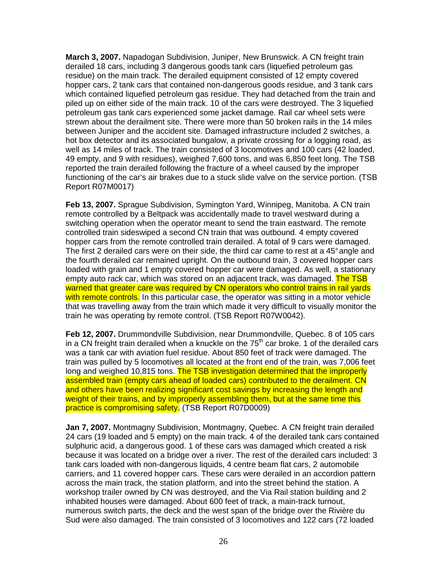**March 3, 2007.** Napadogan Subdivision, Juniper, New Brunswick. A CN freight train derailed 18 cars, including 3 dangerous goods tank cars (liquefied petroleum gas residue) on the main track. The derailed equipment consisted of 12 empty covered hopper cars, 2 tank cars that contained non-dangerous goods residue, and 3 tank cars which contained liquefied petroleum gas residue. They had detached from the train and piled up on either side of the main track. 10 of the cars were destroyed. The 3 liquefied petroleum gas tank cars experienced some jacket damage. Rail car wheel sets were strewn about the derailment site. There were more than 50 broken rails in the 14 miles between Juniper and the accident site. Damaged infrastructure included 2 switches, a hot box detector and its associated bungalow, a private crossing for a logging road, as well as 14 miles of track. The train consisted of 3 locomotives and 100 cars (42 loaded, 49 empty, and 9 with residues), weighed 7,600 tons, and was 6,850 feet long. The TSB reported the train derailed following the fracture of a wheel caused by the improper functioning of the car's air brakes due to a stuck slide valve on the service portion. (TSB Report R07M0017)

**Feb 13, 2007.** Sprague Subdivision, Symington Yard, Winnipeg, Manitoba. A CN train remote controlled by a Beltpack was accidentally made to travel westward during a switching operation when the operator meant to send the train eastward. The remote controlled train sideswiped a second CN train that was outbound. 4 empty covered hopper cars from the remote controlled train derailed. A total of 9 cars were damaged. The first 2 derailed cars were on their side, the third car came to rest at a 45° angle and the fourth derailed car remained upright. On the outbound train, 3 covered hopper cars loaded with grain and 1 empty covered hopper car were damaged. As well, a stationary empty auto rack car, which was stored on an adiacent track, was damaged. The TSB warned that greater care was required by CN operators who control trains in rail yards with remote controls. In this particular case, the operator was sitting in a motor vehicle that was travelling away from the train which made it very difficult to visually monitor the train he was operating by remote control. (TSB Report R07W0042).

**Feb 12, 2007.** Drummondville Subdivision, near Drummondville, Quebec. 8 of 105 cars in a CN freight train derailed when a knuckle on the  $75<sup>th</sup>$  car broke. 1 of the derailed cars was a tank car with aviation fuel residue. About 850 feet of track were damaged. The train was pulled by 5 locomotives all located at the front end of the train, was 7,006 feet long and weighed 10,815 tons. The TSB investigation determined that the improperly assembled train (empty cars ahead of loaded cars) contributed to the derailment. CN and others have been realizing significant cost savings by increasing the length and weight of their trains, and by improperly assembling them, but at the same time this practice is compromising safety. (TSB Report R07D0009)

**Jan 7, 2007.** Montmagny Subdivision, Montmagny, Quebec. A CN freight train derailed 24 cars (19 loaded and 5 empty) on the main track. 4 of the derailed tank cars contained sulphuric acid, a dangerous good. 1 of these cars was damaged which created a risk because it was located on a bridge over a river. The rest of the derailed cars included: 3 tank cars loaded with non-dangerous liquids, 4 centre beam flat cars, 2 automobile carriers, and 11 covered hopper cars. These cars were derailed in an accordion pattern across the main track, the station platform, and into the street behind the station. A workshop trailer owned by CN was destroyed, and the Via Rail station building and 2 inhabited houses were damaged. About 600 feet of track, a main-track turnout, numerous switch parts, the deck and the west span of the bridge over the Rivière du Sud were also damaged. The train consisted of 3 locomotives and 122 cars (72 loaded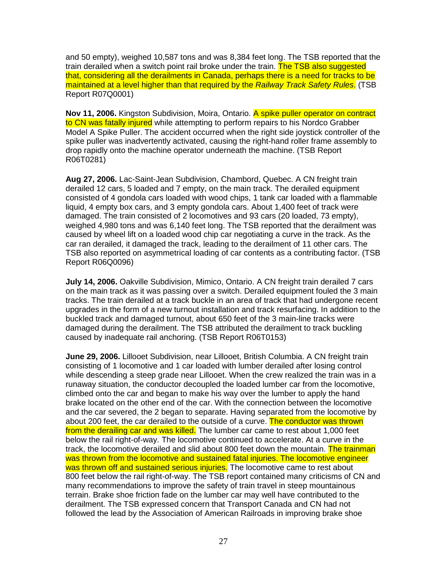and 50 empty), weighed 10,587 tons and was 8,384 feet long. The TSB reported that the train derailed when a switch point rail broke under the train. The TSB also suggested that, considering all the derailments in Canada, perhaps there is a need for tracks to be maintained at a level higher than that required by the Railway Track Safety Rules. (TSB Report R07Q0001)

**Nov 11, 2006.** Kingston Subdivision, Moira, Ontario. A spike puller operator on contract to CN was fatally injured while attempting to perform repairs to his Nordco Grabber Model A Spike Puller. The accident occurred when the right side joystick controller of the spike puller was inadvertently activated, causing the right-hand roller frame assembly to drop rapidly onto the machine operator underneath the machine. (TSB Report R06T0281)

**Aug 27, 2006.** Lac-Saint-Jean Subdivision, Chambord, Quebec. A CN freight train derailed 12 cars, 5 loaded and 7 empty, on the main track. The derailed equipment consisted of 4 gondola cars loaded with wood chips, 1 tank car loaded with a flammable liquid, 4 empty box cars, and 3 empty gondola cars. About 1,400 feet of track were damaged. The train consisted of 2 locomotives and 93 cars (20 loaded, 73 empty), weighed 4,980 tons and was 6,140 feet long. The TSB reported that the derailment was caused by wheel lift on a loaded wood chip car negotiating a curve in the track. As the car ran derailed, it damaged the track, leading to the derailment of 11 other cars. The TSB also reported on asymmetrical loading of car contents as a contributing factor. (TSB Report R06Q0096)

**July 14, 2006.** Oakville Subdivision, Mimico, Ontario. A CN freight train derailed 7 cars on the main track as it was passing over a switch. Derailed equipment fouled the 3 main tracks. The train derailed at a track buckle in an area of track that had undergone recent upgrades in the form of a new turnout installation and track resurfacing. In addition to the buckled track and damaged turnout, about 650 feet of the 3 main-line tracks were damaged during the derailment. The TSB attributed the derailment to track buckling caused by inadequate rail anchoring. (TSB Report R06T0153)

**June 29, 2006.** Lillooet Subdivision, near Lillooet, British Columbia. A CN freight train consisting of 1 locomotive and 1 car loaded with lumber derailed after losing control while descending a steep grade near Lillooet. When the crew realized the train was in a runaway situation, the conductor decoupled the loaded lumber car from the locomotive, climbed onto the car and began to make his way over the lumber to apply the hand brake located on the other end of the car. With the connection between the locomotive and the car severed, the 2 began to separate. Having separated from the locomotive by about 200 feet, the car derailed to the outside of a curve. The conductor was thrown from the derailing car and was killed. The lumber car came to rest about 1,000 feet below the rail right-of-way. The locomotive continued to accelerate. At a curve in the track, the locomotive derailed and slid about 800 feet down the mountain. The trainman was thrown from the locomotive and sustained fatal injuries. The locomotive engineer was thrown off and sustained serious injuries. The locomotive came to rest about 800 feet below the rail right-of-way. The TSB report contained many criticisms of CN and many recommendations to improve the safety of train travel in steep mountainous terrain. Brake shoe friction fade on the lumber car may well have contributed to the derailment. The TSB expressed concern that Transport Canada and CN had not followed the lead by the Association of American Railroads in improving brake shoe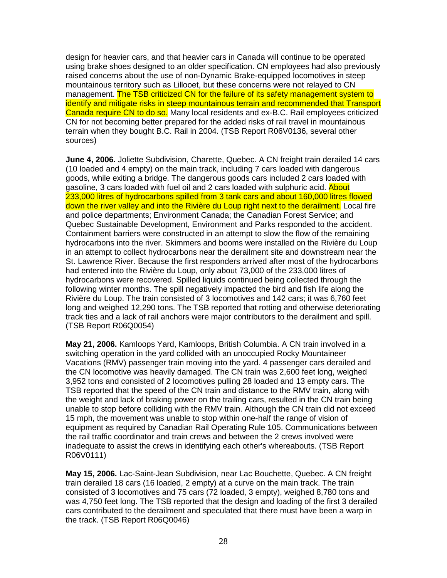design for heavier cars, and that heavier cars in Canada will continue to be operated using brake shoes designed to an older specification. CN employees had also previously raised concerns about the use of non-Dynamic Brake-equipped locomotives in steep mountainous territory such as Lillooet, but these concerns were not relayed to CN management. The TSB criticized CN for the failure of its safety management system to identify and mitigate risks in steep mountainous terrain and recommended that Transport Canada require CN to do so. Many local residents and ex-B.C. Rail employees criticized CN for not becoming better prepared for the added risks of rail travel in mountainous terrain when they bought B.C. Rail in 2004. (TSB Report R06V0136, several other sources)

**June 4, 2006.** Joliette Subdivision, Charette, Quebec. A CN freight train derailed 14 cars (10 loaded and 4 empty) on the main track, including 7 cars loaded with dangerous goods, while exiting a bridge. The dangerous goods cars included 2 cars loaded with gasoline, 3 cars loaded with fuel oil and 2 cars loaded with sulphuric acid. About 233,000 litres of hydrocarbons spilled from 3 tank cars and about 160,000 litres flowed down the river valley and into the Rivière du Loup right next to the derailment. Local fire and police departments; Environment Canada; the Canadian Forest Service; and Quebec Sustainable Development, Environment and Parks responded to the accident. Containment barriers were constructed in an attempt to slow the flow of the remaining hydrocarbons into the river. Skimmers and booms were installed on the Rivière du Loup in an attempt to collect hydrocarbons near the derailment site and downstream near the St. Lawrence River. Because the first responders arrived after most of the hydrocarbons had entered into the Rivière du Loup, only about 73,000 of the 233,000 litres of hydrocarbons were recovered. Spilled liquids continued being collected through the following winter months. The spill negatively impacted the bird and fish life along the Rivière du Loup. The train consisted of 3 locomotives and 142 cars; it was 6,760 feet long and weighed 12,290 tons. The TSB reported that rotting and otherwise deteriorating track ties and a lack of rail anchors were major contributors to the derailment and spill. (TSB Report R06Q0054)

**May 21, 2006.** Kamloops Yard, Kamloops, British Columbia. A CN train involved in a switching operation in the yard collided with an unoccupied Rocky Mountaineer Vacations (RMV) passenger train moving into the yard. 4 passenger cars derailed and the CN locomotive was heavily damaged. The CN train was 2,600 feet long, weighed 3,952 tons and consisted of 2 locomotives pulling 28 loaded and 13 empty cars. The TSB reported that the speed of the CN train and distance to the RMV train, along with the weight and lack of braking power on the trailing cars, resulted in the CN train being unable to stop before colliding with the RMV train. Although the CN train did not exceed 15 mph, the movement was unable to stop within one-half the range of vision of equipment as required by Canadian Rail Operating Rule 105. Communications between the rail traffic coordinator and train crews and between the 2 crews involved were inadequate to assist the crews in identifying each other's whereabouts. (TSB Report R06V0111)

**May 15, 2006.** Lac-Saint-Jean Subdivision, near Lac Bouchette, Quebec. A CN freight train derailed 18 cars (16 loaded, 2 empty) at a curve on the main track. The train consisted of 3 locomotives and 75 cars (72 loaded, 3 empty), weighed 8,780 tons and was 4,750 feet long. The TSB reported that the design and loading of the first 3 derailed cars contributed to the derailment and speculated that there must have been a warp in the track. (TSB Report R06Q0046)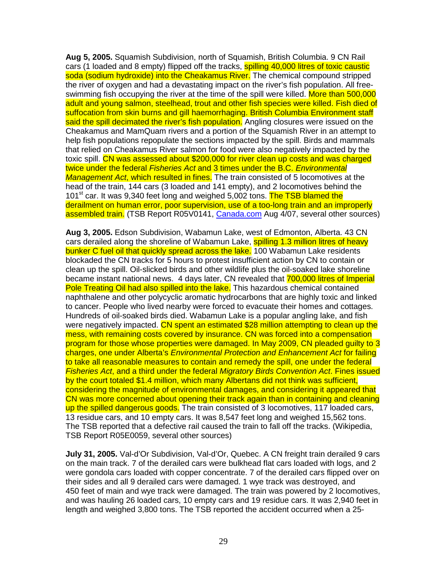**Aug 5, 2005.** Squamish Subdivision, north of Squamish, British Columbia. 9 CN Rail cars (1 loaded and 8 empty) flipped off the tracks, **spilling 40,000 litres of toxic caustic** soda (sodium hydroxide) into the Cheakamus River. The chemical compound stripped the river of oxygen and had a devastating impact on the river's fish population. All freeswimming fish occupying the river at the time of the spill were killed. More than 500,000 adult and young salmon, steelhead, trout and other fish species were killed. Fish died of suffocation from skin burns and gill haemorrhaging. British Columbia Environment staff said the spill decimated the river's fish population. Angling closures were issued on the Cheakamus and MamQuam rivers and a portion of the Squamish River in an attempt to help fish populations repopulate the sections impacted by the spill. Birds and mammals that relied on Cheakamus River salmon for food were also negatively impacted by the toxic spill. CN was assessed about \$200,000 for river clean up costs and was charged twice under the federal Fisheries Act and 3 times under the B.C. Environmental Management Act, which resulted in fines. The train consisted of 5 locomotives at the head of the train, 144 cars (3 loaded and 141 empty), and 2 locomotives behind the 101<sup>st</sup> car. It was 9,340 feet long and weighed 5,002 tons. The TSB blamed the derailment on human error, poor supervision, use of a too-long train and an improperly assembled train. (TSB Report R05V0141, Canada.com Aug 4/07, several other sources)

**Aug 3, 2005.** Edson Subdivision, Wabamun Lake, west of Edmonton, Alberta. 43 CN cars derailed along the shoreline of Wabamun Lake, spilling 1.3 million litres of heavy bunker C fuel oil that quickly spread across the lake. 100 Wabamun Lake residents blockaded the CN tracks for 5 hours to protest insufficient action by CN to contain or clean up the spill. Oil-slicked birds and other wildlife plus the oil-soaked lake shoreline became instant national news. 4 days later, CN revealed that 700,000 litres of Imperial Pole Treating Oil had also spilled into the lake. This hazardous chemical contained naphthalene and other polycyclic aromatic hydrocarbons that are highly toxic and linked to cancer. People who lived nearby were forced to evacuate their homes and cottages. Hundreds of oil-soaked birds died. Wabamun Lake is a popular angling lake, and fish were negatively impacted. CN spent an estimated \$28 million attempting to clean up the mess, with remaining costs covered by insurance. CN was forced into a compensation program for those whose properties were damaged. In May 2009, CN pleaded guilty to 3 charges, one under Alberta's Environmental Protection and Enhancement Act for failing to take all reasonable measures to contain and remedy the spill, one under the federal Fisheries Act, and a third under the federal Migratory Birds Convention Act. Fines issued by the court totaled \$1.4 million, which many Albertans did not think was sufficient, considering the magnitude of environmental damages, and considering it appeared that CN was more concerned about opening their track again than in containing and cleaning up the spilled dangerous goods. The train consisted of 3 locomotives, 117 loaded cars, 13 residue cars, and 10 empty cars. It was 8,547 feet long and weighed 15,562 tons. The TSB reported that a defective rail caused the train to fall off the tracks. (Wikipedia, TSB Report R05E0059, several other sources)

**July 31, 2005.** Val-d'Or Subdivision, Val-d'Or, Quebec. A CN freight train derailed 9 cars on the main track. 7 of the derailed cars were bulkhead flat cars loaded with logs, and 2 were gondola cars loaded with copper concentrate. 7 of the derailed cars flipped over on their sides and all 9 derailed cars were damaged. 1 wye track was destroyed, and 450 feet of main and wye track were damaged. The train was powered by 2 locomotives, and was hauling 26 loaded cars, 10 empty cars and 19 residue cars. It was 2,940 feet in length and weighed 3,800 tons. The TSB reported the accident occurred when a 25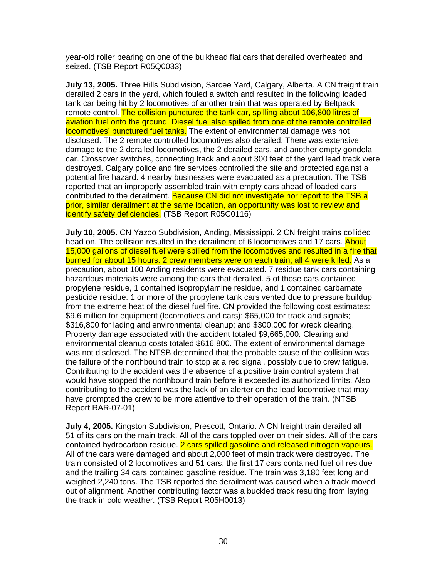year-old roller bearing on one of the bulkhead flat cars that derailed overheated and seized. (TSB Report R05Q0033)

**July 13, 2005.** Three Hills Subdivision, Sarcee Yard, Calgary, Alberta. A CN freight train derailed 2 cars in the yard, which fouled a switch and resulted in the following loaded tank car being hit by 2 locomotives of another train that was operated by Beltpack remote control. The collision punctured the tank car, spilling about 106,800 litres of aviation fuel onto the ground. Diesel fuel also spilled from one of the remote controlled locomotives' punctured fuel tanks. The extent of environmental damage was not disclosed. The 2 remote controlled locomotives also derailed. There was extensive damage to the 2 derailed locomotives, the 2 derailed cars, and another empty gondola car. Crossover switches, connecting track and about 300 feet of the yard lead track were destroyed. Calgary police and fire services controlled the site and protected against a potential fire hazard. 4 nearby businesses were evacuated as a precaution. The TSB reported that an improperly assembled train with empty cars ahead of loaded cars contributed to the derailment. Because CN did not investigate nor report to the TSB a prior, similar derailment at the same location, an opportunity was lost to review and identify safety deficiencies. (TSB Report R05C0116)

**July 10, 2005.** CN Yazoo Subdivision, Anding, Mississippi. 2 CN freight trains collided head on. The collision resulted in the derailment of 6 locomotives and 17 cars. About 15,000 gallons of diesel fuel were spilled from the locomotives and resulted in a fire that burned for about 15 hours. 2 crew members were on each train; all 4 were killed. As a precaution, about 100 Anding residents were evacuated. 7 residue tank cars containing hazardous materials were among the cars that derailed. 5 of those cars contained propylene residue, 1 contained isopropylamine residue, and 1 contained carbamate pesticide residue. 1 or more of the propylene tank cars vented due to pressure buildup from the extreme heat of the diesel fuel fire. CN provided the following cost estimates: \$9.6 million for equipment (locomotives and cars); \$65,000 for track and signals; \$316,800 for lading and environmental cleanup; and \$300,000 for wreck clearing. Property damage associated with the accident totaled \$9,665,000. Clearing and environmental cleanup costs totaled \$616,800. The extent of environmental damage was not disclosed. The NTSB determined that the probable cause of the collision was the failure of the northbound train to stop at a red signal, possibly due to crew fatigue. Contributing to the accident was the absence of a positive train control system that would have stopped the northbound train before it exceeded its authorized limits. Also contributing to the accident was the lack of an alerter on the lead locomotive that may have prompted the crew to be more attentive to their operation of the train. (NTSB Report RAR-07-01)

**July 4, 2005.** Kingston Subdivision, Prescott, Ontario. A CN freight train derailed all 51 of its cars on the main track. All of the cars toppled over on their sides. All of the cars contained hydrocarbon residue. 2 cars spilled gasoline and released nitrogen vapours. All of the cars were damaged and about 2,000 feet of main track were destroyed. The train consisted of 2 locomotives and 51 cars; the first 17 cars contained fuel oil residue and the trailing 34 cars contained gasoline residue. The train was 3,180 feet long and weighed 2,240 tons. The TSB reported the derailment was caused when a track moved out of alignment. Another contributing factor was a buckled track resulting from laying the track in cold weather. (TSB Report R05H0013)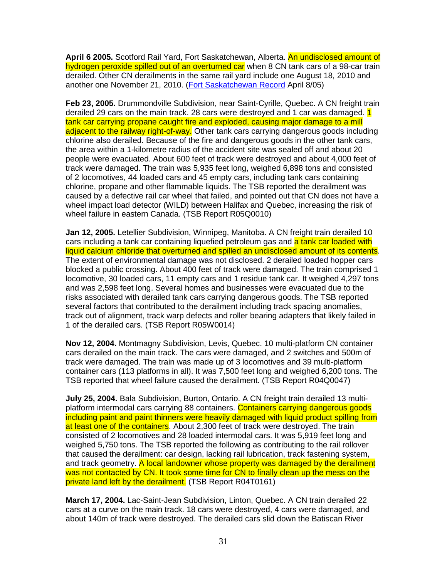**April 6 2005.** Scotford Rail Yard, Fort Saskatchewan, Alberta. An undisclosed amount of hydrogen peroxide spilled out of an overturned car when 8 CN tank cars of a 98-car train derailed. Other CN derailments in the same rail yard include one August 18, 2010 and another one November 21, 2010. (Fort Saskatchewan Record April 8/05)

**Feb 23, 2005.** Drummondville Subdivision, near Saint-Cyrille, Quebec. A CN freight train derailed 29 cars on the main track. 28 cars were destroyed and 1 car was damaged. 1 tank car carrying propane caught fire and exploded, causing major damage to a mill adjacent to the railway right-of-way. Other tank cars carrying dangerous goods including chlorine also derailed. Because of the fire and dangerous goods in the other tank cars, the area within a 1-kilometre radius of the accident site was sealed off and about 20 people were evacuated. About 600 feet of track were destroyed and about 4,000 feet of track were damaged. The train was 5,935 feet long, weighed 6,898 tons and consisted of 2 locomotives, 44 loaded cars and 45 empty cars, including tank cars containing chlorine, propane and other flammable liquids. The TSB reported the derailment was caused by a defective rail car wheel that failed, and pointed out that CN does not have a wheel impact load detector (WILD) between Halifax and Quebec, increasing the risk of wheel failure in eastern Canada. (TSB Report R05Q0010)

**Jan 12, 2005.** Letellier Subdivision, Winnipeg, Manitoba. A CN freight train derailed 10 cars including a tank car containing liquefied petroleum gas and a tank car loaded with liquid calcium chloride that overturned and spilled an undisclosed amount of its contents. The extent of environmental damage was not disclosed. 2 derailed loaded hopper cars blocked a public crossing. About 400 feet of track were damaged. The train comprised 1 locomotive, 30 loaded cars, 11 empty cars and 1 residue tank car. It weighed 4,297 tons and was 2,598 feet long. Several homes and businesses were evacuated due to the risks associated with derailed tank cars carrying dangerous goods. The TSB reported several factors that contributed to the derailment including track spacing anomalies, track out of alignment, track warp defects and roller bearing adapters that likely failed in 1 of the derailed cars. (TSB Report R05W0014)

**Nov 12, 2004.** Montmagny Subdivision, Levis, Quebec. 10 multi-platform CN container cars derailed on the main track. The cars were damaged, and 2 switches and 500m of track were damaged. The train was made up of 3 locomotives and 39 multi-platform container cars (113 platforms in all). It was 7,500 feet long and weighed 6,200 tons. The TSB reported that wheel failure caused the derailment. (TSB Report R04Q0047)

**July 25, 2004.** Bala Subdivision, Burton, Ontario. A CN freight train derailed 13 multiplatform intermodal cars carrying 88 containers. Containers carrying dangerous goods including paint and paint thinners were heavily damaged with liquid product spilling from at least one of the containers. About 2,300 feet of track were destroyed. The train consisted of 2 locomotives and 28 loaded intermodal cars. It was 5,919 feet long and weighed 5,750 tons. The TSB reported the following as contributing to the rail rollover that caused the derailment: car design, lacking rail lubrication, track fastening system, and track geometry. A local landowner whose property was damaged by the derailment was not contacted by CN. It took some time for CN to finally clean up the mess on the private land left by the derailment. (TSB Report R04T0161)

**March 17, 2004.** Lac-Saint-Jean Subdivision, Linton, Quebec. A CN train derailed 22 cars at a curve on the main track. 18 cars were destroyed, 4 cars were damaged, and about 140m of track were destroyed. The derailed cars slid down the Batiscan River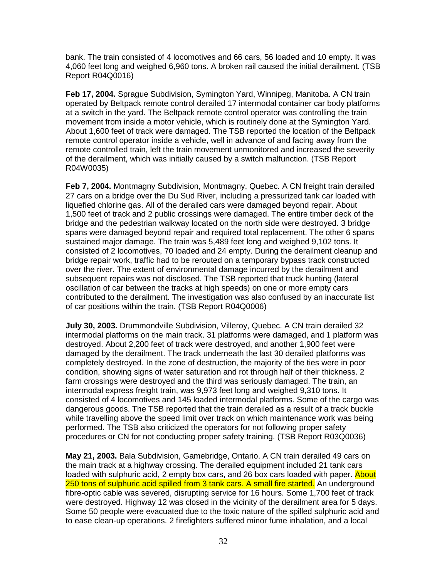bank. The train consisted of 4 locomotives and 66 cars, 56 loaded and 10 empty. It was 4,060 feet long and weighed 6,960 tons. A broken rail caused the initial derailment. (TSB Report R04Q0016)

**Feb 17, 2004.** Sprague Subdivision, Symington Yard, Winnipeg, Manitoba. A CN train operated by Beltpack remote control derailed 17 intermodal container car body platforms at a switch in the yard. The Beltpack remote control operator was controlling the train movement from inside a motor vehicle, which is routinely done at the Symington Yard. About 1,600 feet of track were damaged. The TSB reported the location of the Beltpack remote control operator inside a vehicle, well in advance of and facing away from the remote controlled train, left the train movement unmonitored and increased the severity of the derailment, which was initially caused by a switch malfunction. (TSB Report R04W0035)

**Feb 7, 2004.** Montmagny Subdivision, Montmagny, Quebec. A CN freight train derailed 27 cars on a bridge over the Du Sud River, including a pressurized tank car loaded with liquefied chlorine gas. All of the derailed cars were damaged beyond repair. About 1,500 feet of track and 2 public crossings were damaged. The entire timber deck of the bridge and the pedestrian walkway located on the north side were destroyed. 3 bridge spans were damaged beyond repair and required total replacement. The other 6 spans sustained major damage. The train was 5,489 feet long and weighed 9,102 tons. It consisted of 2 locomotives, 70 loaded and 24 empty. During the derailment cleanup and bridge repair work, traffic had to be rerouted on a temporary bypass track constructed over the river. The extent of environmental damage incurred by the derailment and subsequent repairs was not disclosed. The TSB reported that truck hunting (lateral oscillation of car between the tracks at high speeds) on one or more empty cars contributed to the derailment. The investigation was also confused by an inaccurate list of car positions within the train. (TSB Report R04Q0006)

**July 30, 2003.** Drummondville Subdivision, Villeroy, Quebec. A CN train derailed 32 intermodal platforms on the main track. 31 platforms were damaged, and 1 platform was destroyed. About 2,200 feet of track were destroyed, and another 1,900 feet were damaged by the derailment. The track underneath the last 30 derailed platforms was completely destroyed. In the zone of destruction, the majority of the ties were in poor condition, showing signs of water saturation and rot through half of their thickness. 2 farm crossings were destroyed and the third was seriously damaged. The train, an intermodal express freight train, was 9,973 feet long and weighed 9,310 tons. It consisted of 4 locomotives and 145 loaded intermodal platforms. Some of the cargo was dangerous goods. The TSB reported that the train derailed as a result of a track buckle while travelling above the speed limit over track on which maintenance work was being performed. The TSB also criticized the operators for not following proper safety procedures or CN for not conducting proper safety training. (TSB Report R03Q0036)

**May 21, 2003.** Bala Subdivision, Gamebridge, Ontario. A CN train derailed 49 cars on the main track at a highway crossing. The derailed equipment included 21 tank cars loaded with sulphuric acid, 2 empty box cars, and 26 box cars loaded with paper. About 250 tons of sulphuric acid spilled from 3 tank cars. A small fire started. An underground fibre-optic cable was severed, disrupting service for 16 hours. Some 1,700 feet of track were destroyed. Highway 12 was closed in the vicinity of the derailment area for 5 days. Some 50 people were evacuated due to the toxic nature of the spilled sulphuric acid and to ease clean-up operations. 2 firefighters suffered minor fume inhalation, and a local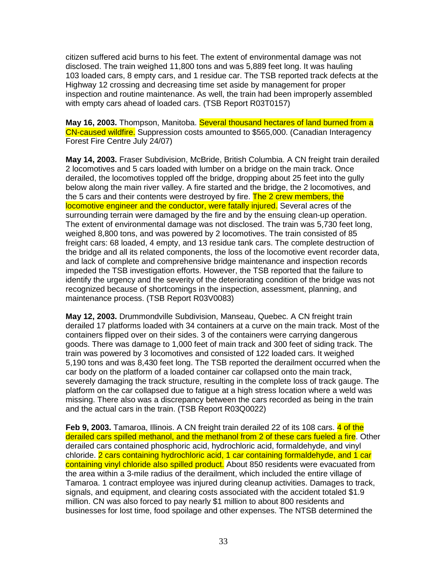citizen suffered acid burns to his feet. The extent of environmental damage was not disclosed. The train weighed 11,800 tons and was 5,889 feet long. It was hauling 103 loaded cars, 8 empty cars, and 1 residue car. The TSB reported track defects at the Highway 12 crossing and decreasing time set aside by management for proper inspection and routine maintenance. As well, the train had been improperly assembled with empty cars ahead of loaded cars. (TSB Report R03T0157)

**May 16, 2003.** Thompson, Manitoba. Several thousand hectares of land burned from a CN-caused wildfire. Suppression costs amounted to \$565,000. (Canadian Interagency Forest Fire Centre July 24/07)

**May 14, 2003.** Fraser Subdivision, McBride, British Columbia. A CN freight train derailed 2 locomotives and 5 cars loaded with lumber on a bridge on the main track. Once derailed, the locomotives toppled off the bridge, dropping about 25 feet into the gully below along the main river valley. A fire started and the bridge, the 2 locomotives, and the 5 cars and their contents were destroyed by fire. The 2 crew members, the locomotive engineer and the conductor, were fatally injured. Several acres of the surrounding terrain were damaged by the fire and by the ensuing clean-up operation. The extent of environmental damage was not disclosed. The train was 5,730 feet long, weighed 8,800 tons, and was powered by 2 locomotives. The train consisted of 85 freight cars: 68 loaded, 4 empty, and 13 residue tank cars. The complete destruction of the bridge and all its related components, the loss of the locomotive event recorder data, and lack of complete and comprehensive bridge maintenance and inspection records impeded the TSB investigation efforts. However, the TSB reported that the failure to identify the urgency and the severity of the deteriorating condition of the bridge was not recognized because of shortcomings in the inspection, assessment, planning, and maintenance process. (TSB Report R03V0083)

**May 12, 2003.** Drummondville Subdivision, Manseau, Quebec. A CN freight train derailed 17 platforms loaded with 34 containers at a curve on the main track. Most of the containers flipped over on their sides. 3 of the containers were carrying dangerous goods. There was damage to 1,000 feet of main track and 300 feet of siding track. The train was powered by 3 locomotives and consisted of 122 loaded cars. It weighed 5,190 tons and was 8,430 feet long. The TSB reported the derailment occurred when the car body on the platform of a loaded container car collapsed onto the main track, severely damaging the track structure, resulting in the complete loss of track gauge. The platform on the car collapsed due to fatigue at a high stress location where a weld was missing. There also was a discrepancy between the cars recorded as being in the train and the actual cars in the train. (TSB Report R03Q0022)

**Feb 9, 2003.** Tamaroa, Illinois. A CN freight train derailed 22 of its 108 cars. 4 of the derailed cars spilled methanol, and the methanol from 2 of these cars fueled a fire. Other derailed cars contained phosphoric acid, hydrochloric acid, formaldehyde, and vinyl chloride. 2 cars containing hydrochloric acid, 1 car containing formaldehyde, and 1 car containing vinyl chloride also spilled product. About 850 residents were evacuated from the area within a 3-mile radius of the derailment, which included the entire village of Tamaroa. 1 contract employee was injured during cleanup activities. Damages to track, signals, and equipment, and clearing costs associated with the accident totaled \$1.9 million. CN was also forced to pay nearly \$1 million to about 800 residents and businesses for lost time, food spoilage and other expenses. The NTSB determined the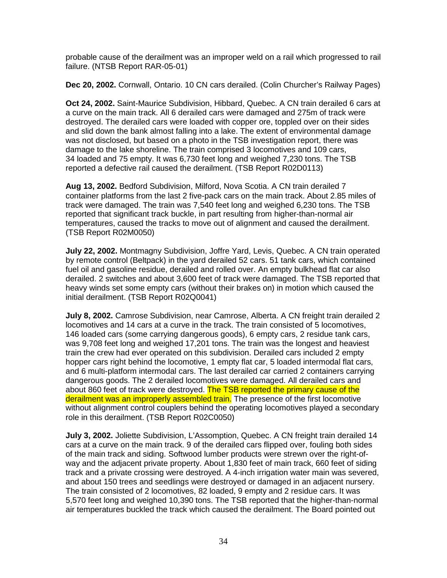probable cause of the derailment was an improper weld on a rail which progressed to rail failure. (NTSB Report RAR-05-01)

**Dec 20, 2002.** Cornwall, Ontario. 10 CN cars derailed. (Colin Churcher's Railway Pages)

**Oct 24, 2002.** Saint-Maurice Subdivision, Hibbard, Quebec. A CN train derailed 6 cars at a curve on the main track. All 6 derailed cars were damaged and 275m of track were destroyed. The derailed cars were loaded with copper ore, toppled over on their sides and slid down the bank almost falling into a lake. The extent of environmental damage was not disclosed, but based on a photo in the TSB investigation report, there was damage to the lake shoreline. The train comprised 3 locomotives and 109 cars, 34 loaded and 75 empty. It was 6,730 feet long and weighed 7,230 tons. The TSB reported a defective rail caused the derailment. (TSB Report R02D0113)

**Aug 13, 2002.** Bedford Subdivision, Milford, Nova Scotia. A CN train derailed 7 container platforms from the last 2 five-pack cars on the main track. About 2.85 miles of track were damaged. The train was 7,540 feet long and weighed 6,230 tons. The TSB reported that significant track buckle, in part resulting from higher-than-normal air temperatures, caused the tracks to move out of alignment and caused the derailment. (TSB Report R02M0050)

**July 22, 2002.** Montmagny Subdivision, Joffre Yard, Levis, Quebec. A CN train operated by remote control (Beltpack) in the yard derailed 52 cars. 51 tank cars, which contained fuel oil and gasoline residue, derailed and rolled over. An empty bulkhead flat car also derailed. 2 switches and about 3,600 feet of track were damaged. The TSB reported that heavy winds set some empty cars (without their brakes on) in motion which caused the initial derailment. (TSB Report R02Q0041)

**July 8, 2002.** Camrose Subdivision, near Camrose, Alberta. A CN freight train derailed 2 locomotives and 14 cars at a curve in the track. The train consisted of 5 locomotives, 146 loaded cars (some carrying dangerous goods), 6 empty cars, 2 residue tank cars, was 9,708 feet long and weighed 17,201 tons. The train was the longest and heaviest train the crew had ever operated on this subdivision. Derailed cars included 2 empty hopper cars right behind the locomotive, 1 empty flat car, 5 loaded intermodal flat cars, and 6 multi-platform intermodal cars. The last derailed car carried 2 containers carrying dangerous goods. The 2 derailed locomotives were damaged. All derailed cars and about 860 feet of track were destroyed. The TSB reported the primary cause of the derailment was an improperly assembled train. The presence of the first locomotive without alignment control couplers behind the operating locomotives played a secondary role in this derailment. (TSB Report R02C0050)

**July 3, 2002.** Joliette Subdivision, L'Assomption, Quebec. A CN freight train derailed 14 cars at a curve on the main track. 9 of the derailed cars flipped over, fouling both sides of the main track and siding. Softwood lumber products were strewn over the right-ofway and the adjacent private property. About 1,830 feet of main track, 660 feet of siding track and a private crossing were destroyed. A 4-inch irrigation water main was severed, and about 150 trees and seedlings were destroyed or damaged in an adjacent nursery. The train consisted of 2 locomotives, 82 loaded, 9 empty and 2 residue cars. It was 5,570 feet long and weighed 10,390 tons. The TSB reported that the higher-than-normal air temperatures buckled the track which caused the derailment. The Board pointed out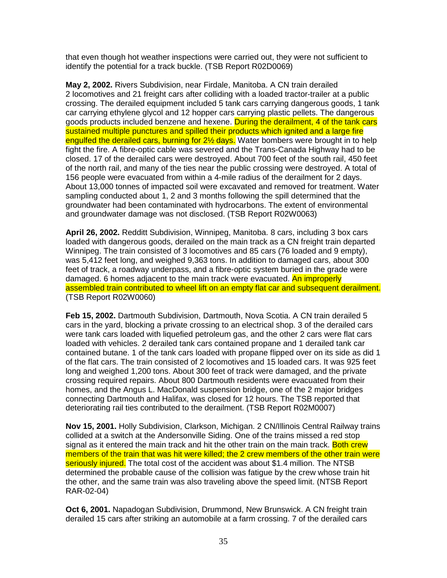that even though hot weather inspections were carried out, they were not sufficient to identify the potential for a track buckle. (TSB Report R02D0069)

**May 2, 2002.** Rivers Subdivision, near Firdale, Manitoba. A CN train derailed 2 locomotives and 21 freight cars after colliding with a loaded tractor-trailer at a public crossing. The derailed equipment included 5 tank cars carrying dangerous goods, 1 tank car carrying ethylene glycol and 12 hopper cars carrying plastic pellets. The dangerous goods products included benzene and hexene. During the derailment, 4 of the tank cars sustained multiple punctures and spilled their products which ignited and a large fire engulfed the derailed cars, burning for 2<sup>1/2</sup> days. Water bombers were brought in to help fight the fire. A fibre-optic cable was severed and the Trans-Canada Highway had to be closed. 17 of the derailed cars were destroyed. About 700 feet of the south rail, 450 feet of the north rail, and many of the ties near the public crossing were destroyed. A total of 156 people were evacuated from within a 4-mile radius of the derailment for 2 days. About 13,000 tonnes of impacted soil were excavated and removed for treatment. Water sampling conducted about 1, 2 and 3 months following the spill determined that the groundwater had been contaminated with hydrocarbons. The extent of environmental and groundwater damage was not disclosed. (TSB Report R02W0063)

**April 26, 2002.** Redditt Subdivision, Winnipeg, Manitoba. 8 cars, including 3 box cars loaded with dangerous goods, derailed on the main track as a CN freight train departed Winnipeg. The train consisted of 3 locomotives and 85 cars (76 loaded and 9 empty), was 5,412 feet long, and weighed 9,363 tons. In addition to damaged cars, about 300 feet of track, a roadway underpass, and a fibre-optic system buried in the grade were damaged. 6 homes adjacent to the main track were evacuated. An improperly assembled train contributed to wheel lift on an empty flat car and subsequent derailment. (TSB Report R02W0060)

**Feb 15, 2002.** Dartmouth Subdivision, Dartmouth, Nova Scotia. A CN train derailed 5 cars in the yard, blocking a private crossing to an electrical shop. 3 of the derailed cars were tank cars loaded with liquefied petroleum gas, and the other 2 cars were flat cars loaded with vehicles. 2 derailed tank cars contained propane and 1 derailed tank car contained butane. 1 of the tank cars loaded with propane flipped over on its side as did 1 of the flat cars. The train consisted of 2 locomotives and 15 loaded cars. It was 925 feet long and weighed 1,200 tons. About 300 feet of track were damaged, and the private crossing required repairs. About 800 Dartmouth residents were evacuated from their homes, and the Angus L. MacDonald suspension bridge, one of the 2 major bridges connecting Dartmouth and Halifax, was closed for 12 hours. The TSB reported that deteriorating rail ties contributed to the derailment. (TSB Report R02M0007)

**Nov 15, 2001.** Holly Subdivision, Clarkson, Michigan. 2 CN/Illinois Central Railway trains collided at a switch at the Andersonville Siding. One of the trains missed a red stop signal as it entered the main track and hit the other train on the main track. Both crew members of the train that was hit were killed; the 2 crew members of the other train were seriously injured. The total cost of the accident was about \$1.4 million. The NTSB determined the probable cause of the collision was fatigue by the crew whose train hit the other, and the same train was also traveling above the speed limit. (NTSB Report RAR-02-04)

**Oct 6, 2001.** Napadogan Subdivision, Drummond, New Brunswick. A CN freight train derailed 15 cars after striking an automobile at a farm crossing. 7 of the derailed cars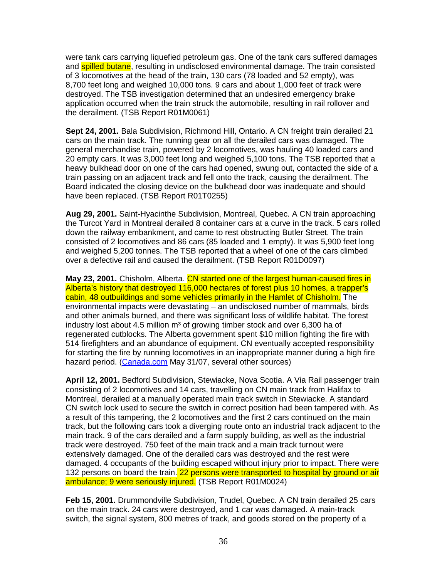were tank cars carrying liquefied petroleum gas. One of the tank cars suffered damages and **spilled butane**, resulting in undisclosed environmental damage. The train consisted of 3 locomotives at the head of the train, 130 cars (78 loaded and 52 empty), was 8,700 feet long and weighed 10,000 tons. 9 cars and about 1,000 feet of track were destroyed. The TSB investigation determined that an undesired emergency brake application occurred when the train struck the automobile, resulting in rail rollover and the derailment. (TSB Report R01M0061)

**Sept 24, 2001.** Bala Subdivision, Richmond Hill, Ontario. A CN freight train derailed 21 cars on the main track. The running gear on all the derailed cars was damaged. The general merchandise train, powered by 2 locomotives, was hauling 40 loaded cars and 20 empty cars. It was 3,000 feet long and weighed 5,100 tons. The TSB reported that a heavy bulkhead door on one of the cars had opened, swung out, contacted the side of a train passing on an adjacent track and fell onto the track, causing the derailment. The Board indicated the closing device on the bulkhead door was inadequate and should have been replaced. (TSB Report R01T0255)

**Aug 29, 2001.** Saint-Hyacinthe Subdivision, Montreal, Quebec. A CN train approaching the Turcot Yard in Montreal derailed 8 container cars at a curve in the track. 5 cars rolled down the railway embankment, and came to rest obstructing Butler Street. The train consisted of 2 locomotives and 86 cars (85 loaded and 1 empty). It was 5,900 feet long and weighed 5,200 tonnes. The TSB reported that a wheel of one of the cars climbed over a defective rail and caused the derailment. (TSB Report R01D0097)

**May 23, 2001.** Chisholm, Alberta. CN started one of the largest human-caused fires in Alberta's history that destroyed 116,000 hectares of forest plus 10 homes, a trapper's cabin, 48 outbuildings and some vehicles primarily in the Hamlet of Chisholm. The environmental impacts were devastating – an undisclosed number of mammals, birds and other animals burned, and there was significant loss of wildlife habitat. The forest industry lost about 4.5 million m<sup>3</sup> of growing timber stock and over 6,300 ha of regenerated cutblocks. The Alberta government spent \$10 million fighting the fire with 514 firefighters and an abundance of equipment. CN eventually accepted responsibility for starting the fire by running locomotives in an inappropriate manner during a high fire hazard period. (Canada.com May 31/07, several other sources)

**April 12, 2001.** Bedford Subdivision, Stewiacke, Nova Scotia. A Via Rail passenger train consisting of 2 locomotives and 14 cars, travelling on CN main track from Halifax to Montreal, derailed at a manually operated main track switch in Stewiacke. A standard CN switch lock used to secure the switch in correct position had been tampered with. As a result of this tampering, the 2 locomotives and the first 2 cars continued on the main track, but the following cars took a diverging route onto an industrial track adjacent to the main track. 9 of the cars derailed and a farm supply building, as well as the industrial track were destroyed. 750 feet of the main track and a main track turnout were extensively damaged. One of the derailed cars was destroyed and the rest were damaged. 4 occupants of the building escaped without injury prior to impact. There were 132 persons on board the train. 22 persons were transported to hospital by ground or air ambulance; 9 were seriously injured. (TSB Report R01M0024)

**Feb 15, 2001.** Drummondville Subdivision, Trudel, Quebec. A CN train derailed 25 cars on the main track. 24 cars were destroyed, and 1 car was damaged. A main-track switch, the signal system, 800 metres of track, and goods stored on the property of a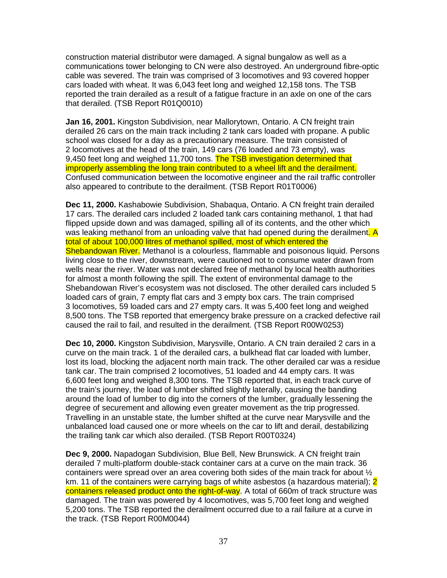construction material distributor were damaged. A signal bungalow as well as a communications tower belonging to CN were also destroyed. An underground fibre-optic cable was severed. The train was comprised of 3 locomotives and 93 covered hopper cars loaded with wheat. It was 6,043 feet long and weighed 12,158 tons. The TSB reported the train derailed as a result of a fatigue fracture in an axle on one of the cars that derailed. (TSB Report R01Q0010)

**Jan 16, 2001.** Kingston Subdivision, near Mallorytown, Ontario. A CN freight train derailed 26 cars on the main track including 2 tank cars loaded with propane. A public school was closed for a day as a precautionary measure. The train consisted of 2 locomotives at the head of the train, 149 cars (76 loaded and 73 empty), was 9,450 feet long and weighed 11,700 tons. The TSB investigation determined that improperly assembling the long train contributed to a wheel lift and the derailment. Confused communication between the locomotive engineer and the rail traffic controller also appeared to contribute to the derailment. (TSB Report R01T0006)

**Dec 11, 2000.** Kashabowie Subdivision, Shabaqua, Ontario. A CN freight train derailed 17 cars. The derailed cars included 2 loaded tank cars containing methanol, 1 that had flipped upside down and was damaged, spilling all of its contents, and the other which was leaking methanol from an unloading valve that had opened during the derailment. A total of about 100,000 litres of methanol spilled, most of which entered the Shebandowan River. Methanol is a colourless, flammable and poisonous liquid. Persons living close to the river, downstream, were cautioned not to consume water drawn from wells near the river. Water was not declared free of methanol by local health authorities for almost a month following the spill. The extent of environmental damage to the Shebandowan River's ecosystem was not disclosed. The other derailed cars included 5 loaded cars of grain, 7 empty flat cars and 3 empty box cars. The train comprised 3 locomotives, 59 loaded cars and 27 empty cars. It was 5,400 feet long and weighed 8,500 tons. The TSB reported that emergency brake pressure on a cracked defective rail caused the rail to fail, and resulted in the derailment. (TSB Report R00W0253)

**Dec 10, 2000.** Kingston Subdivision, Marysville, Ontario. A CN train derailed 2 cars in a curve on the main track. 1 of the derailed cars, a bulkhead flat car loaded with lumber, lost its load, blocking the adjacent north main track. The other derailed car was a residue tank car. The train comprised 2 locomotives, 51 loaded and 44 empty cars. It was 6,600 feet long and weighed 8,300 tons. The TSB reported that, in each track curve of the train's journey, the load of lumber shifted slightly laterally, causing the banding around the load of lumber to dig into the corners of the lumber, gradually lessening the degree of securement and allowing even greater movement as the trip progressed. Travelling in an unstable state, the lumber shifted at the curve near Marysville and the unbalanced load caused one or more wheels on the car to lift and derail, destabilizing the trailing tank car which also derailed. (TSB Report R00T0324)

**Dec 9, 2000.** Napadogan Subdivision, Blue Bell, New Brunswick. A CN freight train derailed 7 multi-platform double-stack container cars at a curve on the main track. 36 containers were spread over an area covering both sides of the main track for about  $\frac{1}{2}$ km. 11 of the containers were carrying bags of white asbestos (a hazardous material); 2 containers released product onto the right-of-way. A total of 660m of track structure was damaged. The train was powered by 4 locomotives, was 5,700 feet long and weighed 5,200 tons. The TSB reported the derailment occurred due to a rail failure at a curve in the track. (TSB Report R00M0044)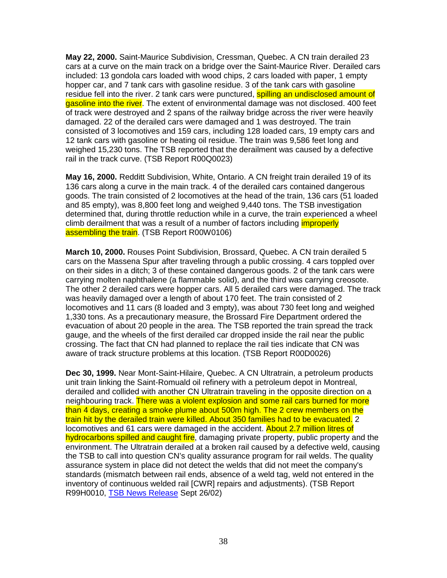**May 22, 2000.** Saint-Maurice Subdivision, Cressman, Quebec. A CN train derailed 23 cars at a curve on the main track on a bridge over the Saint-Maurice River. Derailed cars included: 13 gondola cars loaded with wood chips, 2 cars loaded with paper, 1 empty hopper car, and 7 tank cars with gasoline residue. 3 of the tank cars with gasoline residue fell into the river. 2 tank cars were punctured, **spilling an undisclosed amount of** gasoline into the river. The extent of environmental damage was not disclosed. 400 feet of track were destroyed and 2 spans of the railway bridge across the river were heavily damaged. 22 of the derailed cars were damaged and 1 was destroyed. The train consisted of 3 locomotives and 159 cars, including 128 loaded cars, 19 empty cars and 12 tank cars with gasoline or heating oil residue. The train was 9,586 feet long and weighed 15,230 tons. The TSB reported that the derailment was caused by a defective rail in the track curve. (TSB Report R00Q0023)

**May 16, 2000.** Redditt Subdivision, White, Ontario. A CN freight train derailed 19 of its 136 cars along a curve in the main track. 4 of the derailed cars contained dangerous goods. The train consisted of 2 locomotives at the head of the train, 136 cars (51 loaded and 85 empty), was 8,800 feet long and weighed 9,440 tons. The TSB investigation determined that, during throttle reduction while in a curve, the train experienced a wheel climb derailment that was a result of a number of factors including *improperly* assembling the train. (TSB Report R00W0106)

**March 10, 2000.** Rouses Point Subdivision, Brossard, Quebec. A CN train derailed 5 cars on the Massena Spur after traveling through a public crossing. 4 cars toppled over on their sides in a ditch; 3 of these contained dangerous goods. 2 of the tank cars were carrying molten naphthalene (a flammable solid), and the third was carrying creosote. The other 2 derailed cars were hopper cars. All 5 derailed cars were damaged. The track was heavily damaged over a length of about 170 feet. The train consisted of 2 locomotives and 11 cars (8 loaded and 3 empty), was about 730 feet long and weighed 1,330 tons. As a precautionary measure, the Brossard Fire Department ordered the evacuation of about 20 people in the area. The TSB reported the train spread the track gauge, and the wheels of the first derailed car dropped inside the rail near the public crossing. The fact that CN had planned to replace the rail ties indicate that CN was aware of track structure problems at this location. (TSB Report R00D0026)

**Dec 30, 1999.** Near Mont-Saint-Hilaire, Quebec. A CN Ultratrain, a petroleum products unit train linking the Saint-Romuald oil refinery with a petroleum depot in Montreal, derailed and collided with another CN Ultratrain traveling in the opposite direction on a neighbouring track. There was a violent explosion and some rail cars burned for more than 4 days, creating a smoke plume about 500m high. The 2 crew members on the train hit by the derailed train were killed. About 350 families had to be evacuated. 2 locomotives and 61 cars were damaged in the accident. About 2.7 million litres of hydrocarbons spilled and caught fire, damaging private property, public property and the environment. The Ultratrain derailed at a broken rail caused by a defective weld, causing the TSB to call into question CN's quality assurance program for rail welds. The quality assurance system in place did not detect the welds that did not meet the company's standards (mismatch between rail ends, absence of a weld tag, weld not entered in the inventory of continuous welded rail [CWR] repairs and adjustments). (TSB Report R99H0010, TSB News Release Sept 26/02)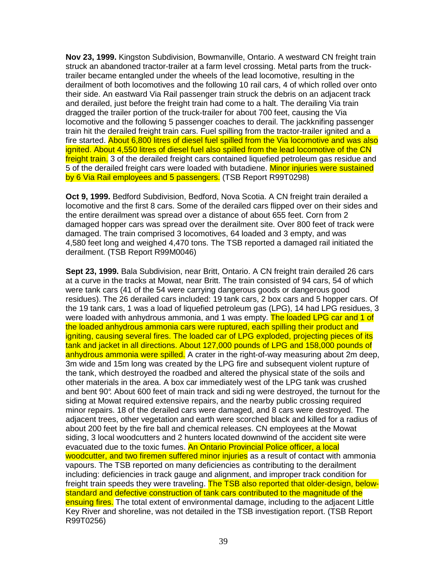**Nov 23, 1999.** Kingston Subdivision, Bowmanville, Ontario. A westward CN freight train struck an abandoned tractor-trailer at a farm level crossing. Metal parts from the trucktrailer became entangled under the wheels of the lead locomotive, resulting in the derailment of both locomotives and the following 10 rail cars, 4 of which rolled over onto their side. An eastward Via Rail passenger train struck the debris on an adjacent track and derailed, just before the freight train had come to a halt. The derailing Via train dragged the trailer portion of the truck-trailer for about 700 feet, causing the Via locomotive and the following 5 passenger coaches to derail. The jackknifing passenger train hit the derailed freight train cars. Fuel spilling from the tractor-trailer ignited and a fire started. About 6,800 litres of diesel fuel spilled from the Via locomotive and was also ignited. About 4,550 litres of diesel fuel also spilled from the lead locomotive of the CN freight train. 3 of the derailed freight cars contained liquefied petroleum gas residue and 5 of the derailed freight cars were loaded with butadiene. Minor injuries were sustained by 6 Via Rail employees and 5 passengers. (TSB Report R99T0298)

**Oct 9, 1999.** Bedford Subdivision, Bedford, Nova Scotia. A CN freight train derailed a locomotive and the first 8 cars. Some of the derailed cars flipped over on their sides and the entire derailment was spread over a distance of about 655 feet. Corn from 2 damaged hopper cars was spread over the derailment site. Over 800 feet of track were damaged. The train comprised 3 locomotives, 64 loaded and 3 empty, and was 4,580 feet long and weighed 4,470 tons. The TSB reported a damaged rail initiated the derailment. (TSB Report R99M0046)

**Sept 23, 1999.** Bala Subdivision, near Britt, Ontario. A CN freight train derailed 26 cars at a curve in the tracks at Mowat, near Britt. The train consisted of 94 cars, 54 of which were tank cars (41 of the 54 were carrying dangerous goods or dangerous good residues). The 26 derailed cars included: 19 tank cars, 2 box cars and 5 hopper cars. Of the 19 tank cars, 1 was a load of liquefied petroleum gas (LPG), 14 had LPG residues, 3 were loaded with anhydrous ammonia, and 1 was empty. The loaded LPG car and 1 of the loaded anhydrous ammonia cars were ruptured, each spilling their product and igniting, causing several fires. The loaded car of LPG exploded, projecting pieces of its tank and jacket in all directions. About 127,000 pounds of LPG and 158,000 pounds of anhydrous ammonia were spilled. A crater in the right-of-way measuring about 2m deep, 3m wide and 15m long was created by the LPG fire and subsequent violent rupture of the tank, which destroyed the roadbed and altered the physical state of the soils and other materials in the area. A box car immediately west of the LPG tank was crushed and bent 90°. About 600 feet of main track and sidi ng were destroyed, the turnout for the siding at Mowat required extensive repairs, and the nearby public crossing required minor repairs. 18 of the derailed cars were damaged, and 8 cars were destroyed. The adjacent trees, other vegetation and earth were scorched black and killed for a radius of about 200 feet by the fire ball and chemical releases. CN employees at the Mowat siding, 3 local woodcutters and 2 hunters located downwind of the accident site were evacuated due to the toxic fumes. An Ontario Provincial Police officer, a local woodcutter, and two firemen suffered minor injuries as a result of contact with ammonia vapours. The TSB reported on many deficiencies as contributing to the derailment including: deficiencies in track gauge and alignment, and improper track condition for freight train speeds they were traveling. The TSB also reported that older-design, belowstandard and defective construction of tank cars contributed to the magnitude of the ensuing fires. The total extent of environmental damage, including to the adjacent Little Key River and shoreline, was not detailed in the TSB investigation report. (TSB Report R99T0256)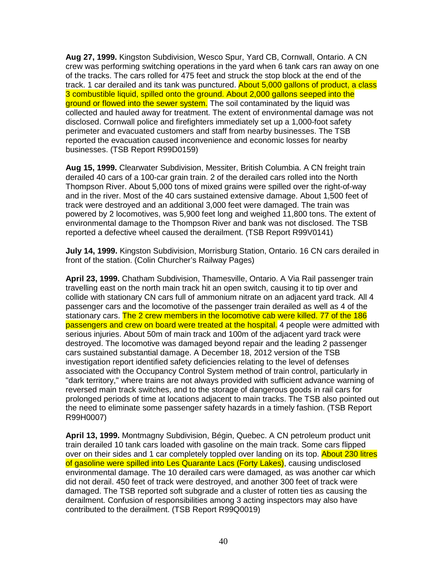**Aug 27, 1999.** Kingston Subdivision, Wesco Spur, Yard CB, Cornwall, Ontario. A CN crew was performing switching operations in the yard when 6 tank cars ran away on one of the tracks. The cars rolled for 475 feet and struck the stop block at the end of the track. 1 car derailed and its tank was punctured. About 5,000 gallons of product, a class 3 combustible liquid, spilled onto the ground. About 2,000 gallons seeped into the ground or flowed into the sewer system. The soil contaminated by the liquid was collected and hauled away for treatment. The extent of environmental damage was not disclosed. Cornwall police and firefighters immediately set up a 1,000-foot safety perimeter and evacuated customers and staff from nearby businesses. The TSB reported the evacuation caused inconvenience and economic losses for nearby businesses. (TSB Report R99D0159)

**Aug 15, 1999.** Clearwater Subdivision, Messiter, British Columbia. A CN freight train derailed 40 cars of a 100-car grain train. 2 of the derailed cars rolled into the North Thompson River. About 5,000 tons of mixed grains were spilled over the right-of-way and in the river. Most of the 40 cars sustained extensive damage. About 1,500 feet of track were destroyed and an additional 3,000 feet were damaged. The train was powered by 2 locomotives, was 5,900 feet long and weighed 11,800 tons. The extent of environmental damage to the Thompson River and bank was not disclosed. The TSB reported a defective wheel caused the derailment. (TSB Report R99V0141)

**July 14, 1999.** Kingston Subdivision, Morrisburg Station, Ontario. 16 CN cars derailed in front of the station. (Colin Churcher's Railway Pages)

**April 23, 1999.** Chatham Subdivision, Thamesville, Ontario. A Via Rail passenger train travelling east on the north main track hit an open switch, causing it to tip over and collide with stationary CN cars full of ammonium nitrate on an adjacent yard track. All 4 passenger cars and the locomotive of the passenger train derailed as well as 4 of the stationary cars. The 2 crew members in the locomotive cab were killed. 77 of the 186 passengers and crew on board were treated at the hospital. 4 people were admitted with serious injuries. About 50m of main track and 100m of the adjacent yard track were destroyed. The locomotive was damaged beyond repair and the leading 2 passenger cars sustained substantial damage. A December 18, 2012 version of the TSB investigation report identified safety deficiencies relating to the level of defenses associated with the Occupancy Control System method of train control, particularly in "dark territory," where trains are not always provided with sufficient advance warning of reversed main track switches, and to the storage of dangerous goods in rail cars for prolonged periods of time at locations adjacent to main tracks. The TSB also pointed out the need to eliminate some passenger safety hazards in a timely fashion. (TSB Report R99H0007)

**April 13, 1999.** Montmagny Subdivision, Bégin, Quebec. A CN petroleum product unit train derailed 10 tank cars loaded with gasoline on the main track. Some cars flipped over on their sides and 1 car completely toppled over landing on its top. About 230 litres of gasoline were spilled into Les Quarante Lacs (Forty Lakes), causing undisclosed environmental damage. The 10 derailed cars were damaged, as was another car which did not derail. 450 feet of track were destroyed, and another 300 feet of track were damaged. The TSB reported soft subgrade and a cluster of rotten ties as causing the derailment. Confusion of responsibilities among 3 acting inspectors may also have contributed to the derailment. (TSB Report R99Q0019)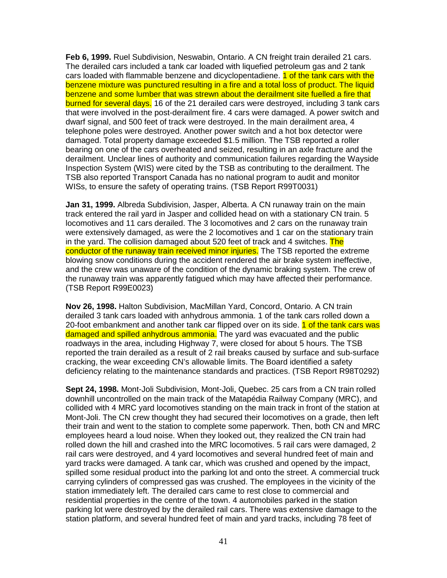**Feb 6, 1999.** Ruel Subdivision, Neswabin, Ontario. A CN freight train derailed 21 cars. The derailed cars included a tank car loaded with liquefied petroleum gas and 2 tank cars loaded with flammable benzene and dicyclopentadiene. 1 of the tank cars with the benzene mixture was punctured resulting in a fire and a total loss of product. The liquid benzene and some lumber that was strewn about the derailment site fuelled a fire that burned for several days. 16 of the 21 derailed cars were destroyed, including 3 tank cars that were involved in the post-derailment fire. 4 cars were damaged. A power switch and dwarf signal, and 500 feet of track were destroyed. In the main derailment area, 4 telephone poles were destroyed. Another power switch and a hot box detector were damaged. Total property damage exceeded \$1.5 million. The TSB reported a roller bearing on one of the cars overheated and seized, resulting in an axle fracture and the derailment. Unclear lines of authority and communication failures regarding the Wayside Inspection System (WIS) were cited by the TSB as contributing to the derailment. The TSB also reported Transport Canada has no national program to audit and monitor WISs, to ensure the safety of operating trains. (TSB Report R99T0031)

**Jan 31, 1999.** Albreda Subdivision, Jasper, Alberta. A CN runaway train on the main track entered the rail yard in Jasper and collided head on with a stationary CN train. 5 locomotives and 11 cars derailed. The 3 locomotives and 2 cars on the runaway train were extensively damaged, as were the 2 locomotives and 1 car on the stationary train in the yard. The collision damaged about 520 feet of track and 4 switches. The conductor of the runaway train received minor injuries. The TSB reported the extreme blowing snow conditions during the accident rendered the air brake system ineffective, and the crew was unaware of the condition of the dynamic braking system. The crew of the runaway train was apparently fatigued which may have affected their performance. (TSB Report R99E0023)

**Nov 26, 1998.** Halton Subdivision, MacMillan Yard, Concord, Ontario. A CN train derailed 3 tank cars loaded with anhydrous ammonia. 1 of the tank cars rolled down a 20-foot embankment and another tank car flipped over on its side. 1 of the tank cars was damaged and spilled anhydrous ammonia. The yard was evacuated and the public roadways in the area, including Highway 7, were closed for about 5 hours. The TSB reported the train derailed as a result of 2 rail breaks caused by surface and sub-surface cracking, the wear exceeding CN's allowable limits. The Board identified a safety deficiency relating to the maintenance standards and practices. (TSB Report R98T0292)

**Sept 24, 1998.** Mont-Joli Subdivision, Mont-Joli, Quebec. 25 cars from a CN train rolled downhill uncontrolled on the main track of the Matapédia Railway Company (MRC), and collided with 4 MRC yard locomotives standing on the main track in front of the station at Mont-Joli. The CN crew thought they had secured their locomotives on a grade, then left their train and went to the station to complete some paperwork. Then, both CN and MRC employees heard a loud noise. When they looked out, they realized the CN train had rolled down the hill and crashed into the MRC locomotives. 5 rail cars were damaged, 2 rail cars were destroyed, and 4 yard locomotives and several hundred feet of main and yard tracks were damaged. A tank car, which was crushed and opened by the impact, spilled some residual product into the parking lot and onto the street. A commercial truck carrying cylinders of compressed gas was crushed. The employees in the vicinity of the station immediately left. The derailed cars came to rest close to commercial and residential properties in the centre of the town. 4 automobiles parked in the station parking lot were destroyed by the derailed rail cars. There was extensive damage to the station platform, and several hundred feet of main and yard tracks, including 78 feet of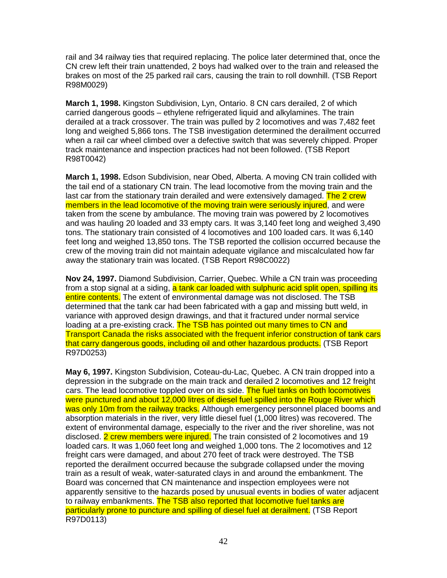rail and 34 railway ties that required replacing. The police later determined that, once the CN crew left their train unattended, 2 boys had walked over to the train and released the brakes on most of the 25 parked rail cars, causing the train to roll downhill. (TSB Report R98M0029)

**March 1, 1998.** Kingston Subdivision, Lyn, Ontario. 8 CN cars derailed, 2 of which carried dangerous goods – ethylene refrigerated liquid and alkylamines. The train derailed at a track crossover. The train was pulled by 2 locomotives and was 7,482 feet long and weighed 5,866 tons. The TSB investigation determined the derailment occurred when a rail car wheel climbed over a defective switch that was severely chipped. Proper track maintenance and inspection practices had not been followed. (TSB Report R98T0042)

**March 1, 1998.** Edson Subdivision, near Obed, Alberta. A moving CN train collided with the tail end of a stationary CN train. The lead locomotive from the moving train and the last car from the stationary train derailed and were extensively damaged. The 2 crew members in the lead locomotive of the moving train were seriously injured, and were taken from the scene by ambulance. The moving train was powered by 2 locomotives and was hauling 20 loaded and 33 empty cars. It was 3,140 feet long and weighed 3,490 tons. The stationary train consisted of 4 locomotives and 100 loaded cars. It was 6,140 feet long and weighed 13,850 tons. The TSB reported the collision occurred because the crew of the moving train did not maintain adequate vigilance and miscalculated how far away the stationary train was located. (TSB Report R98C0022)

**Nov 24, 1997.** Diamond Subdivision, Carrier, Quebec. While a CN train was proceeding from a stop signal at a siding, a tank car loaded with sulphuric acid split open, spilling its entire contents. The extent of environmental damage was not disclosed. The TSB determined that the tank car had been fabricated with a gap and missing butt weld, in variance with approved design drawings, and that it fractured under normal service loading at a pre-existing crack. The TSB has pointed out many times to CN and Transport Canada the risks associated with the frequent inferior construction of tank cars that carry dangerous goods, including oil and other hazardous products. (TSB Report R97D0253)

**May 6, 1997.** Kingston Subdivision, Coteau-du-Lac, Quebec. A CN train dropped into a depression in the subgrade on the main track and derailed 2 locomotives and 12 freight cars. The lead locomotive toppled over on its side. The fuel tanks on both locomotives were punctured and about 12,000 litres of diesel fuel spilled into the Rouge River which was only 10m from the railway tracks. Although emergency personnel placed booms and absorption materials in the river, very little diesel fuel (1,000 litres) was recovered. The extent of environmental damage, especially to the river and the river shoreline, was not disclosed. 2 crew members were injured. The train consisted of 2 locomotives and 19 loaded cars. It was 1,060 feet long and weighed 1,000 tons. The 2 locomotives and 12 freight cars were damaged, and about 270 feet of track were destroyed. The TSB reported the derailment occurred because the subgrade collapsed under the moving train as a result of weak, water-saturated clays in and around the embankment. The Board was concerned that CN maintenance and inspection employees were not apparently sensitive to the hazards posed by unusual events in bodies of water adjacent to railway embankments. The TSB also reported that locomotive fuel tanks are particularly prone to puncture and spilling of diesel fuel at derailment. (TSB Report R97D0113)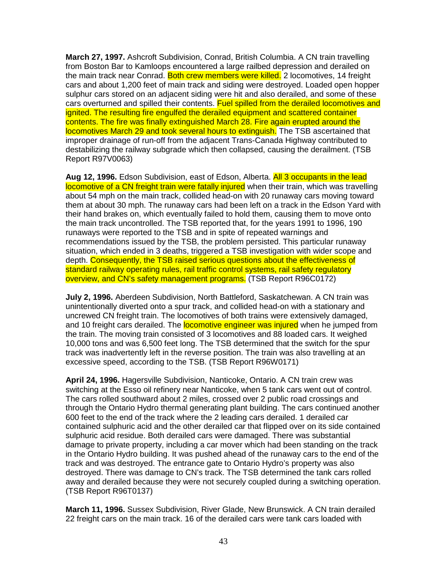**March 27, 1997.** Ashcroft Subdivision, Conrad, British Columbia. A CN train travelling from Boston Bar to Kamloops encountered a large railbed depression and derailed on the main track near Conrad. Both crew members were killed. 2 locomotives, 14 freight cars and about 1,200 feet of main track and siding were destroyed. Loaded open hopper sulphur cars stored on an adjacent siding were hit and also derailed, and some of these cars overturned and spilled their contents. Fuel spilled from the derailed locomotives and ignited. The resulting fire engulfed the derailed equipment and scattered container contents. The fire was finally extinguished March 28. Fire again erupted around the locomotives March 29 and took several hours to extinguish. The TSB ascertained that improper drainage of run-off from the adjacent Trans-Canada Highway contributed to destabilizing the railway subgrade which then collapsed, causing the derailment. (TSB Report R97V0063)

**Aug 12, 1996.** Edson Subdivision, east of Edson, Alberta. All 3 occupants in the lead locomotive of a CN freight train were fatally injured when their train, which was travelling about 54 mph on the main track, collided head-on with 20 runaway cars moving toward them at about 30 mph. The runaway cars had been left on a track in the Edson Yard with their hand brakes on, which eventually failed to hold them, causing them to move onto the main track uncontrolled. The TSB reported that, for the years 1991 to 1996, 190 runaways were reported to the TSB and in spite of repeated warnings and recommendations issued by the TSB, the problem persisted. This particular runaway situation, which ended in 3 deaths, triggered a TSB investigation with wider scope and depth. Consequently, the TSB raised serious questions about the effectiveness of standard railway operating rules, rail traffic control systems, rail safety regulatory overview, and CN's safety management programs. (TSB Report R96C0172)

**July 2, 1996.** Aberdeen Subdivision, North Battleford, Saskatchewan. A CN train was unintentionally diverted onto a spur track, and collided head-on with a stationary and uncrewed CN freight train. The locomotives of both trains were extensively damaged, and 10 freight cars derailed. The **locomotive engineer was injured** when he jumped from the train. The moving train consisted of 3 locomotives and 88 loaded cars. It weighed 10,000 tons and was 6,500 feet long. The TSB determined that the switch for the spur track was inadvertently left in the reverse position. The train was also travelling at an excessive speed, according to the TSB. (TSB Report R96W0171)

**April 24, 1996.** Hagersville Subdivision, Nanticoke, Ontario. A CN train crew was switching at the Esso oil refinery near Nanticoke, when 5 tank cars went out of control. The cars rolled southward about 2 miles, crossed over 2 public road crossings and through the Ontario Hydro thermal generating plant building. The cars continued another 600 feet to the end of the track where the 2 leading cars derailed. 1 derailed car contained sulphuric acid and the other derailed car that flipped over on its side contained sulphuric acid residue. Both derailed cars were damaged. There was substantial damage to private property, including a car mover which had been standing on the track in the Ontario Hydro building. It was pushed ahead of the runaway cars to the end of the track and was destroyed. The entrance gate to Ontario Hydro's property was also destroyed. There was damage to CN's track. The TSB determined the tank cars rolled away and derailed because they were not securely coupled during a switching operation. (TSB Report R96T0137)

**March 11, 1996.** Sussex Subdivision, River Glade, New Brunswick. A CN train derailed 22 freight cars on the main track. 16 of the derailed cars were tank cars loaded with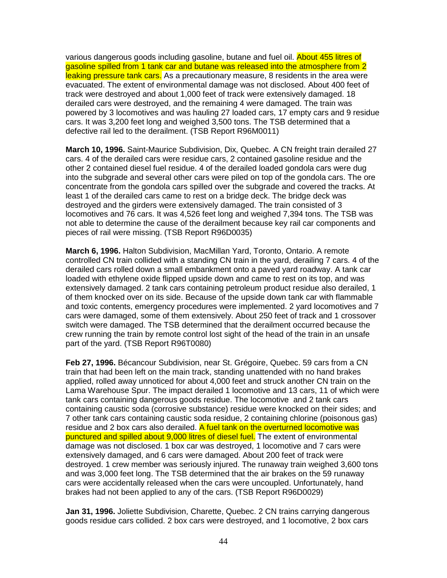various dangerous goods including gasoline, butane and fuel oil. About 455 litres of gasoline spilled from 1 tank car and butane was released into the atmosphere from 2 leaking pressure tank cars. As a precautionary measure, 8 residents in the area were evacuated. The extent of environmental damage was not disclosed. About 400 feet of track were destroyed and about 1,000 feet of track were extensively damaged. 18 derailed cars were destroyed, and the remaining 4 were damaged. The train was powered by 3 locomotives and was hauling 27 loaded cars, 17 empty cars and 9 residue cars. It was 3,200 feet long and weighed 3,500 tons. The TSB determined that a defective rail led to the derailment. (TSB Report R96M0011)

**March 10, 1996.** Saint-Maurice Subdivision, Dix, Quebec. A CN freight train derailed 27 cars. 4 of the derailed cars were residue cars, 2 contained gasoline residue and the other 2 contained diesel fuel residue. 4 of the derailed loaded gondola cars were dug into the subgrade and several other cars were piled on top of the gondola cars. The ore concentrate from the gondola cars spilled over the subgrade and covered the tracks. At least 1 of the derailed cars came to rest on a bridge deck. The bridge deck was destroyed and the girders were extensively damaged. The train consisted of 3 locomotives and 76 cars. It was 4,526 feet long and weighed 7,394 tons. The TSB was not able to determine the cause of the derailment because key rail car components and pieces of rail were missing. (TSB Report R96D0035)

**March 6, 1996.** Halton Subdivision, MacMillan Yard, Toronto, Ontario. A remote controlled CN train collided with a standing CN train in the yard, derailing 7 cars. 4 of the derailed cars rolled down a small embankment onto a paved yard roadway. A tank car loaded with ethylene oxide flipped upside down and came to rest on its top, and was extensively damaged. 2 tank cars containing petroleum product residue also derailed, 1 of them knocked over on its side. Because of the upside down tank car with flammable and toxic contents, emergency procedures were implemented. 2 yard locomotives and 7 cars were damaged, some of them extensively. About 250 feet of track and 1 crossover switch were damaged. The TSB determined that the derailment occurred because the crew running the train by remote control lost sight of the head of the train in an unsafe part of the yard. (TSB Report R96T0080)

**Feb 27, 1996.** Bécancour Subdivision, near St. Grégoire, Quebec. 59 cars from a CN train that had been left on the main track, standing unattended with no hand brakes applied, rolled away unnoticed for about 4,000 feet and struck another CN train on the Lama Warehouse Spur. The impact derailed 1 locomotive and 13 cars, 11 of which were tank cars containing dangerous goods residue. The locomotive and 2 tank cars containing caustic soda (corrosive substance) residue were knocked on their sides; and 7 other tank cars containing caustic soda residue, 2 containing chlorine (poisonous gas) residue and 2 box cars also derailed. A fuel tank on the overturned locomotive was punctured and spilled about 9,000 litres of diesel fuel. The extent of environmental damage was not disclosed. 1 box car was destroyed, 1 locomotive and 7 cars were extensively damaged, and 6 cars were damaged. About 200 feet of track were destroyed. 1 crew member was seriously injured. The runaway train weighed 3,600 tons and was 3,000 feet long. The TSB determined that the air brakes on the 59 runaway cars were accidentally released when the cars were uncoupled. Unfortunately, hand brakes had not been applied to any of the cars. (TSB Report R96D0029)

**Jan 31, 1996.** Joliette Subdivision, Charette, Quebec. 2 CN trains carrying dangerous goods residue cars collided. 2 box cars were destroyed, and 1 locomotive, 2 box cars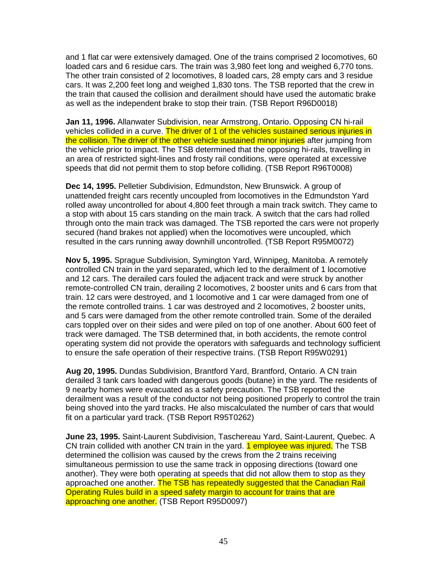and 1 flat car were extensively damaged. One of the trains comprised 2 locomotives, 60 loaded cars and 6 residue cars. The train was 3,980 feet long and weighed 6,770 tons. The other train consisted of 2 locomotives, 8 loaded cars, 28 empty cars and 3 residue cars. It was 2,200 feet long and weighed 1,830 tons. The TSB reported that the crew in the train that caused the collision and derailment should have used the automatic brake as well as the independent brake to stop their train. (TSB Report R96D0018)

**Jan 11, 1996.** Allanwater Subdivision, near Armstrong, Ontario. Opposing CN hi-rail vehicles collided in a curve. The driver of 1 of the vehicles sustained serious injuries in the collision. The driver of the other vehicle sustained minor injuries after jumping from the vehicle prior to impact. The TSB determined that the opposing hi-rails, travelling in an area of restricted sight-lines and frosty rail conditions, were operated at excessive speeds that did not permit them to stop before colliding. (TSB Report R96T0008)

**Dec 14, 1995.** Pelletier Subdivision, Edmundston, New Brunswick. A group of unattended freight cars recently uncoupled from locomotives in the Edmundston Yard rolled away uncontrolled for about 4,800 feet through a main track switch. They came to a stop with about 15 cars standing on the main track. A switch that the cars had rolled through onto the main track was damaged. The TSB reported the cars were not properly secured (hand brakes not applied) when the locomotives were uncoupled, which resulted in the cars running away downhill uncontrolled. (TSB Report R95M0072)

**Nov 5, 1995.** Sprague Subdivision, Symington Yard, Winnipeg, Manitoba. A remotely controlled CN train in the yard separated, which led to the derailment of 1 locomotive and 12 cars. The derailed cars fouled the adjacent track and were struck by another remote-controlled CN train, derailing 2 locomotives, 2 booster units and 6 cars from that train. 12 cars were destroyed, and 1 locomotive and 1 car were damaged from one of the remote controlled trains. 1 car was destroyed and 2 locomotives, 2 booster units, and 5 cars were damaged from the other remote controlled train. Some of the derailed cars toppled over on their sides and were piled on top of one another. About 600 feet of track were damaged. The TSB determined that, in both accidents, the remote control operating system did not provide the operators with safeguards and technology sufficient to ensure the safe operation of their respective trains. (TSB Report R95W0291)

**Aug 20, 1995.** Dundas Subdivision, Brantford Yard, Brantford, Ontario. A CN train derailed 3 tank cars loaded with dangerous goods (butane) in the yard. The residents of 9 nearby homes were evacuated as a safety precaution. The TSB reported the derailment was a result of the conductor not being positioned properly to control the train being shoved into the yard tracks. He also miscalculated the number of cars that would fit on a particular yard track. (TSB Report R95T0262)

**June 23, 1995.** Saint-Laurent Subdivision, Taschereau Yard, Saint-Laurent, Quebec. A CN train collided with another CN train in the yard. 1 employee was injured. The TSB determined the collision was caused by the crews from the 2 trains receiving simultaneous permission to use the same track in opposing directions (toward one another). They were both operating at speeds that did not allow them to stop as they approached one another. The TSB has repeatedly suggested that the Canadian Rail Operating Rules build in a speed safety margin to account for trains that are approaching one another. (TSB Report R95D0097)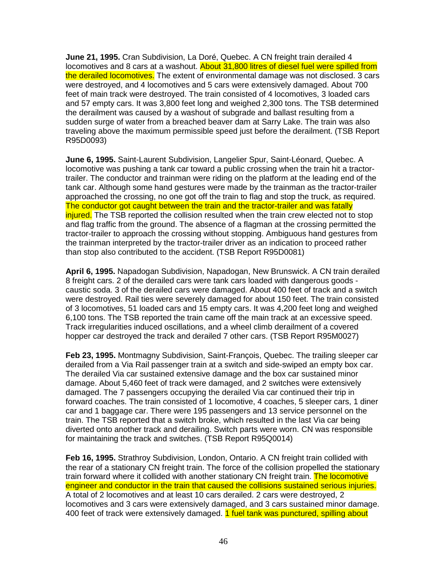**June 21, 1995.** Cran Subdivision, La Doré, Quebec. A CN freight train derailed 4 locomotives and 8 cars at a washout. About 31,800 litres of diesel fuel were spilled from the derailed locomotives. The extent of environmental damage was not disclosed. 3 cars were destroyed, and 4 locomotives and 5 cars were extensively damaged. About 700 feet of main track were destroyed. The train consisted of 4 locomotives, 3 loaded cars and 57 empty cars. It was 3,800 feet long and weighed 2,300 tons. The TSB determined the derailment was caused by a washout of subgrade and ballast resulting from a sudden surge of water from a breached beaver dam at Sarry Lake. The train was also traveling above the maximum permissible speed just before the derailment. (TSB Report R95D0093)

**June 6, 1995.** Saint-Laurent Subdivision, Langelier Spur, Saint-Léonard, Quebec. A locomotive was pushing a tank car toward a public crossing when the train hit a tractortrailer. The conductor and trainman were riding on the platform at the leading end of the tank car. Although some hand gestures were made by the trainman as the tractor-trailer approached the crossing, no one got off the train to flag and stop the truck, as required. The conductor got caught between the train and the tractor-trailer and was fatally injured. The TSB reported the collision resulted when the train crew elected not to stop and flag traffic from the ground. The absence of a flagman at the crossing permitted the tractor-trailer to approach the crossing without stopping. Ambiguous hand gestures from the trainman interpreted by the tractor-trailer driver as an indication to proceed rather than stop also contributed to the accident. (TSB Report R95D0081)

**April 6, 1995.** Napadogan Subdivision, Napadogan, New Brunswick. A CN train derailed 8 freight cars. 2 of the derailed cars were tank cars loaded with dangerous goods caustic soda. 3 of the derailed cars were damaged. About 400 feet of track and a switch were destroyed. Rail ties were severely damaged for about 150 feet. The train consisted of 3 locomotives, 51 loaded cars and 15 empty cars. It was 4,200 feet long and weighed 6,100 tons. The TSB reported the train came off the main track at an excessive speed. Track irregularities induced oscillations, and a wheel climb derailment of a covered hopper car destroyed the track and derailed 7 other cars. (TSB Report R95M0027)

**Feb 23, 1995.** Montmagny Subdivision, Saint-François, Quebec. The trailing sleeper car derailed from a Via Rail passenger train at a switch and side-swiped an empty box car. The derailed Via car sustained extensive damage and the box car sustained minor damage. About 5,460 feet of track were damaged, and 2 switches were extensively damaged. The 7 passengers occupying the derailed Via car continued their trip in forward coaches. The train consisted of 1 locomotive, 4 coaches, 5 sleeper cars, 1 diner car and 1 baggage car. There were 195 passengers and 13 service personnel on the train. The TSB reported that a switch broke, which resulted in the last Via car being diverted onto another track and derailing. Switch parts were worn. CN was responsible for maintaining the track and switches. (TSB Report R95Q0014)

**Feb 16, 1995.** Strathroy Subdivision, London, Ontario. A CN freight train collided with the rear of a stationary CN freight train. The force of the collision propelled the stationary train forward where it collided with another stationary CN freight train. The locomotive engineer and conductor in the train that caused the collisions sustained serious injuries. A total of 2 locomotives and at least 10 cars derailed. 2 cars were destroyed, 2 locomotives and 3 cars were extensively damaged, and 3 cars sustained minor damage. 400 feet of track were extensively damaged. 1 fuel tank was punctured, spilling about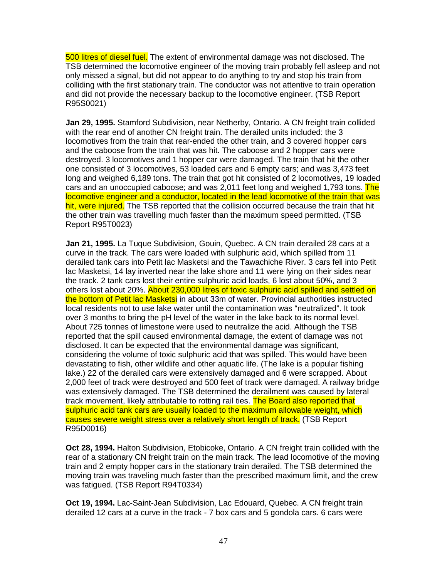500 litres of diesel fuel. The extent of environmental damage was not disclosed. The TSB determined the locomotive engineer of the moving train probably fell asleep and not only missed a signal, but did not appear to do anything to try and stop his train from colliding with the first stationary train. The conductor was not attentive to train operation and did not provide the necessary backup to the locomotive engineer. (TSB Report R95S0021)

**Jan 29, 1995.** Stamford Subdivision, near Netherby, Ontario. A CN freight train collided with the rear end of another CN freight train. The derailed units included: the 3 locomotives from the train that rear-ended the other train, and 3 covered hopper cars and the caboose from the train that was hit. The caboose and 2 hopper cars were destroyed. 3 locomotives and 1 hopper car were damaged. The train that hit the other one consisted of 3 locomotives, 53 loaded cars and 6 empty cars; and was 3,473 feet long and weighed 6,189 tons. The train that got hit consisted of 2 locomotives, 19 loaded cars and an unoccupied caboose; and was 2,011 feet long and weighed 1,793 tons. The locomotive engineer and a conductor, located in the lead locomotive of the train that was hit, were injured. The TSB reported that the collision occurred because the train that hit the other train was travelling much faster than the maximum speed permitted. (TSB Report R95T0023)

**Jan 21, 1995.** La Tuque Subdivision, Gouin, Quebec. A CN train derailed 28 cars at a curve in the track. The cars were loaded with sulphuric acid, which spilled from 11 derailed tank cars into Petit lac Masketsi and the Tawachiche River. 3 cars fell into Petit lac Masketsi, 14 lay inverted near the lake shore and 11 were lying on their sides near the track. 2 tank cars lost their entire sulphuric acid loads, 6 lost about 50%, and 3 others lost about 20%. About 230,000 litres of toxic sulphuric acid spilled and settled on the bottom of Petit lac Masketsi in about 33m of water. Provincial authorities instructed local residents not to use lake water until the contamination was "neutralized". It took over 3 months to bring the pH level of the water in the lake back to its normal level. About 725 tonnes of limestone were used to neutralize the acid. Although the TSB reported that the spill caused environmental damage, the extent of damage was not disclosed. It can be expected that the environmental damage was significant, considering the volume of toxic sulphuric acid that was spilled. This would have been devastating to fish, other wildlife and other aquatic life. (The lake is a popular fishing lake.) 22 of the derailed cars were extensively damaged and 6 were scrapped. About 2,000 feet of track were destroyed and 500 feet of track were damaged. A railway bridge was extensively damaged. The TSB determined the derailment was caused by lateral track movement, likely attributable to rotting rail ties. The Board also reported that sulphuric acid tank cars are usually loaded to the maximum allowable weight, which causes severe weight stress over a relatively short length of track. (TSB Report R95D0016)

**Oct 28, 1994.** Halton Subdivision, Etobicoke, Ontario. A CN freight train collided with the rear of a stationary CN freight train on the main track. The lead locomotive of the moving train and 2 empty hopper cars in the stationary train derailed. The TSB determined the moving train was traveling much faster than the prescribed maximum limit, and the crew was fatigued. (TSB Report R94T0334)

**Oct 19, 1994.** Lac-Saint-Jean Subdivision, Lac Edouard, Quebec. A CN freight train derailed 12 cars at a curve in the track - 7 box cars and 5 gondola cars. 6 cars were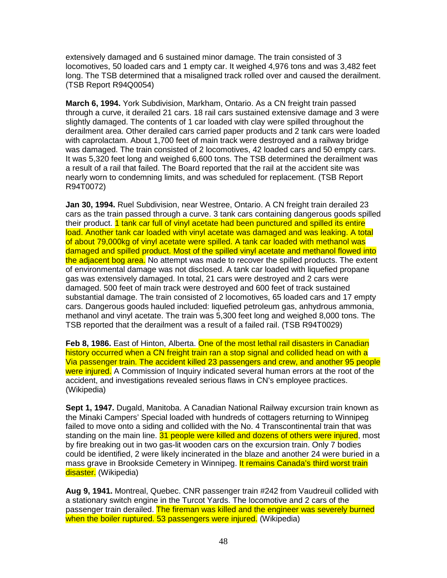extensively damaged and 6 sustained minor damage. The train consisted of 3 locomotives, 50 loaded cars and 1 empty car. It weighed 4,976 tons and was 3,482 feet long. The TSB determined that a misaligned track rolled over and caused the derailment. (TSB Report R94Q0054)

**March 6, 1994.** York Subdivision, Markham, Ontario. As a CN freight train passed through a curve, it derailed 21 cars. 18 rail cars sustained extensive damage and 3 were slightly damaged. The contents of 1 car loaded with clay were spilled throughout the derailment area. Other derailed cars carried paper products and 2 tank cars were loaded with caprolactam. About 1,700 feet of main track were destroyed and a railway bridge was damaged. The train consisted of 2 locomotives, 42 loaded cars and 50 empty cars. It was 5,320 feet long and weighed 6,600 tons. The TSB determined the derailment was a result of a rail that failed. The Board reported that the rail at the accident site was nearly worn to condemning limits, and was scheduled for replacement. (TSB Report R94T0072)

**Jan 30, 1994.** Ruel Subdivision, near Westree, Ontario. A CN freight train derailed 23 cars as the train passed through a curve. 3 tank cars containing dangerous goods spilled their product. 1 tank car full of vinyl acetate had been punctured and spilled its entire load. Another tank car loaded with vinyl acetate was damaged and was leaking. A total of about 79,000kg of vinyl acetate were spilled. A tank car loaded with methanol was damaged and spilled product. Most of the spilled vinyl acetate and methanol flowed into the adjacent bog area. No attempt was made to recover the spilled products. The extent of environmental damage was not disclosed. A tank car loaded with liquefied propane gas was extensively damaged. In total, 21 cars were destroyed and 2 cars were damaged. 500 feet of main track were destroyed and 600 feet of track sustained substantial damage. The train consisted of 2 locomotives, 65 loaded cars and 17 empty cars. Dangerous goods hauled included: liquefied petroleum gas, anhydrous ammonia, methanol and vinyl acetate. The train was 5,300 feet long and weighed 8,000 tons. The TSB reported that the derailment was a result of a failed rail. (TSB R94T0029)

**Feb 8, 1986.** East of Hinton, Alberta. One of the most lethal rail disasters in Canadian history occurred when a CN freight train ran a stop signal and collided head on with a Via passenger train. The accident killed 23 passengers and crew, and another 95 people were injured. A Commission of Inquiry indicated several human errors at the root of the accident, and investigations revealed serious flaws in CN's employee practices. (Wikipedia)

**Sept 1, 1947.** Dugald, Manitoba. A Canadian National Railway excursion train known as the Minaki Campers' Special loaded with hundreds of cottagers returning to Winnipeg failed to move onto a siding and collided with the No. 4 Transcontinental train that was standing on the main line. 31 people were killed and dozens of others were injured, most by fire breaking out in two gas-lit wooden cars on the excursion train. Only 7 bodies could be identified, 2 were likely incinerated in the blaze and another 24 were buried in a mass grave in Brookside Cemetery in Winnipeg. It remains Canada's third worst train disaster. (Wikipedia)

**Aug 9, 1941.** Montreal, Quebec. CNR passenger train #242 from Vaudreuil collided with a stationary switch engine in the Turcot Yards. The locomotive and 2 cars of the passenger train derailed. The fireman was killed and the engineer was severely burned when the boiler ruptured. 53 passengers were injured. (Wikipedia)